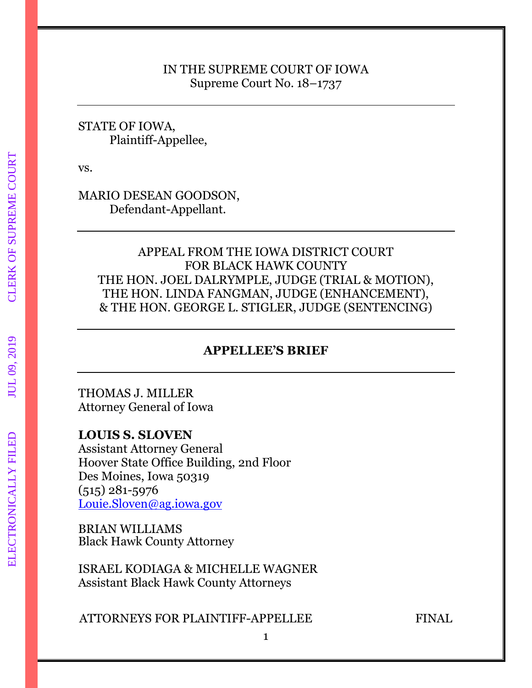## IN THE SUPREME COURT OF IOWA Supreme Court No. 18–1737

## STATE OF IOWA, Plaintiff-Appellee,

vs.

## MARIO DESEAN GOODSON, Defendant-Appellant.

## APPEAL FROM THE IOWA DISTRICT COURT FOR BLACK HAWK COUNTY THE HON. JOEL DALRYMPLE, JUDGE (TRIAL & MOTION), THE HON. LINDA FANGMAN, JUDGE (ENHANCEMENT), & THE HON. GEORGE L. STIGLER, JUDGE (SENTENCING)

## **APPELLEE'S BRIEF**

THOMAS J. MILLER Attorney General of Iowa

## **LOUIS S. SLOVEN**

Assistant Attorney General Hoover State Office Building, 2nd Floor Des Moines, Iowa 50319 (515) 281-5976 [Louie.Sloven@ag.iowa.gov](mailto:Louie.Sloven@ag.iowa.gov)

BRIAN WILLIAMS Black Hawk County Attorney

ISRAEL KODIAGA & MICHELLE WAGNER Assistant Black Hawk County Attorneys

ATTORNEYS FOR PLAINTIFF-APPELLEE FINAL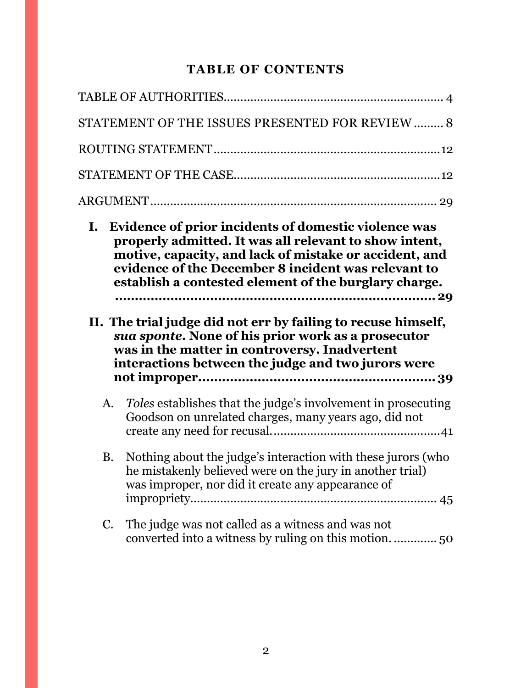# **TABLE OF CONTENTS**

|                | STATEMENT OF THE ISSUES PRESENTED FOR REVIEW  8                                                                                                                                                                                                                                                                                                                                                                                                                                                                        |  |
|----------------|------------------------------------------------------------------------------------------------------------------------------------------------------------------------------------------------------------------------------------------------------------------------------------------------------------------------------------------------------------------------------------------------------------------------------------------------------------------------------------------------------------------------|--|
|                |                                                                                                                                                                                                                                                                                                                                                                                                                                                                                                                        |  |
|                |                                                                                                                                                                                                                                                                                                                                                                                                                                                                                                                        |  |
|                |                                                                                                                                                                                                                                                                                                                                                                                                                                                                                                                        |  |
| $\mathbf{I}$ . | Evidence of prior incidents of domestic violence was<br>properly admitted. It was all relevant to show intent,<br>motive, capacity, and lack of mistake or accident, and<br>evidence of the December 8 incident was relevant to<br>establish a contested element of the burglary charge.<br>II. The trial judge did not err by failing to recuse himself,<br>sua sponte. None of his prior work as a prosecutor<br>was in the matter in controversy. Inadvertent<br>interactions between the judge and two jurors were |  |
| A.             | <i>Toles</i> establishes that the judge's involvement in prosecuting<br>Goodson on unrelated charges, many years ago, did not                                                                                                                                                                                                                                                                                                                                                                                          |  |
| <b>B.</b>      | Nothing about the judge's interaction with these jurors (who<br>he mistakenly believed were on the jury in another trial)<br>was improper, nor did it create any appearance of                                                                                                                                                                                                                                                                                                                                         |  |
| C.             | The judge was not called as a witness and was not                                                                                                                                                                                                                                                                                                                                                                                                                                                                      |  |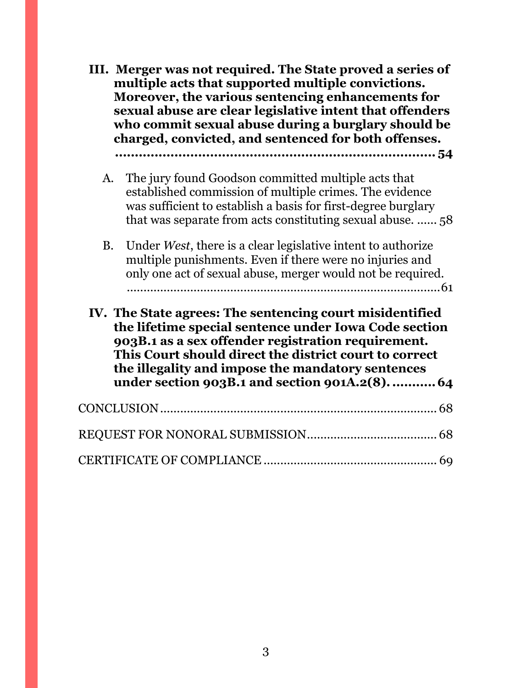|           | III. Merger was not required. The State proved a series of<br>multiple acts that supported multiple convictions.<br>Moreover, the various sentencing enhancements for<br>sexual abuse are clear legislative intent that offenders<br>who commit sexual abuse during a burglary should be<br>charged, convicted, and sentenced for both offenses. |
|-----------|--------------------------------------------------------------------------------------------------------------------------------------------------------------------------------------------------------------------------------------------------------------------------------------------------------------------------------------------------|
| A.        | The jury found Goodson committed multiple acts that<br>established commission of multiple crimes. The evidence<br>was sufficient to establish a basis for first-degree burglary<br>that was separate from acts constituting sexual abuse.  58                                                                                                    |
| <b>B.</b> | Under West, there is a clear legislative intent to authorize<br>multiple punishments. Even if there were no injuries and<br>only one act of sexual abuse, merger would not be required.                                                                                                                                                          |
|           | IV. The State agrees: The sentencing court misidentified<br>the lifetime special sentence under Iowa Code section<br>903B.1 as a sex offender registration requirement.<br>This Court should direct the district court to correct<br>the illegality and impose the mandatory sentences<br>under section 903B.1 and section 901A.2(8).  64        |
|           |                                                                                                                                                                                                                                                                                                                                                  |
|           |                                                                                                                                                                                                                                                                                                                                                  |
|           |                                                                                                                                                                                                                                                                                                                                                  |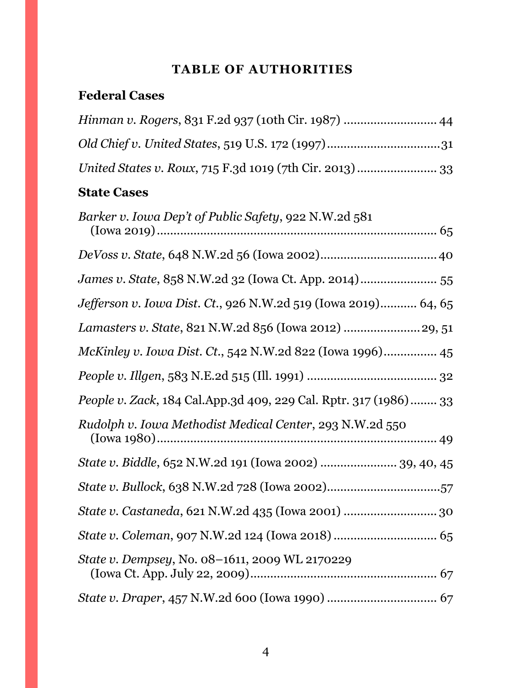# **TABLE OF AUTHORITIES**

# <span id="page-3-0"></span>**Federal Cases**

| <i>Hinman v. Rogers, 831 F.2d 937 (10th Cir. 1987) </i> 44 |  |
|------------------------------------------------------------|--|
|                                                            |  |
|                                                            |  |

# **State Cases**

| Barker v. Iowa Dep't of Public Safety, 922 N.W.2d 581                    |
|--------------------------------------------------------------------------|
|                                                                          |
|                                                                          |
| James v. State, 858 N.W.2d 32 (Iowa Ct. App. 2014) 55                    |
| Jefferson v. Iowa Dist. Ct., 926 N.W.2d 519 (Iowa 2019) 64, 65           |
| Lamasters v. State, 821 N.W.2d 856 (Iowa 2012)  29, 51                   |
| McKinley v. Iowa Dist. Ct., 542 N.W.2d 822 (Iowa 1996) 45                |
|                                                                          |
| <i>People v. Zack</i> , 184 Cal.App.3d 409, 229 Cal. Rptr. 317 (1986) 33 |
| Rudolph v. Iowa Methodist Medical Center, 293 N.W.2d 550                 |
| State v. Biddle, 652 N.W.2d 191 (Iowa 2002)  39, 40, 45                  |
|                                                                          |
|                                                                          |
|                                                                          |
| State v. Dempsey, No. 08-1611, 2009 WL 2170229                           |
|                                                                          |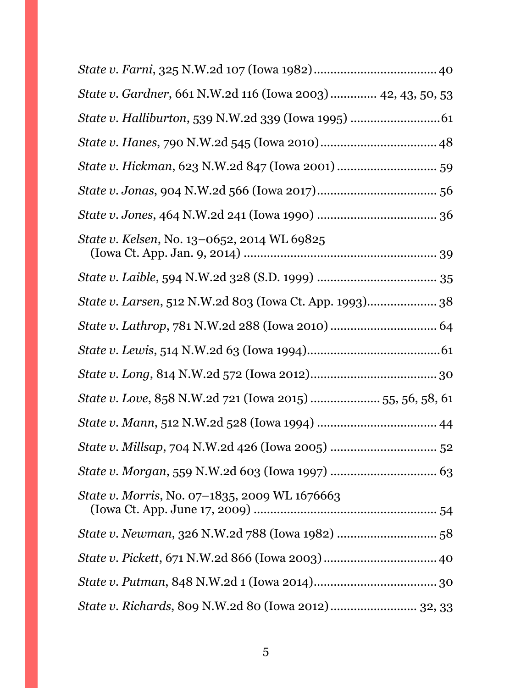| State v. Gardner, 661 N.W.2d 116 (Iowa 2003)  42, 43, 50, 53 |
|--------------------------------------------------------------|
|                                                              |
|                                                              |
| State v. Hickman, 623 N.W.2d 847 (Iowa 2001)  59             |
|                                                              |
|                                                              |
| State v. Kelsen, No. 13-0652, 2014 WL 69825                  |
|                                                              |
|                                                              |
|                                                              |
|                                                              |
|                                                              |
| State v. Love, 858 N.W.2d 721 (Iowa 2015)  55, 56, 58, 61    |
|                                                              |
|                                                              |
|                                                              |
| State v. Morris, No. 07-1835, 2009 WL 1676663                |
|                                                              |
|                                                              |
|                                                              |
| State v. Richards, 809 N.W.2d 80 (Iowa 2012) 32, 33          |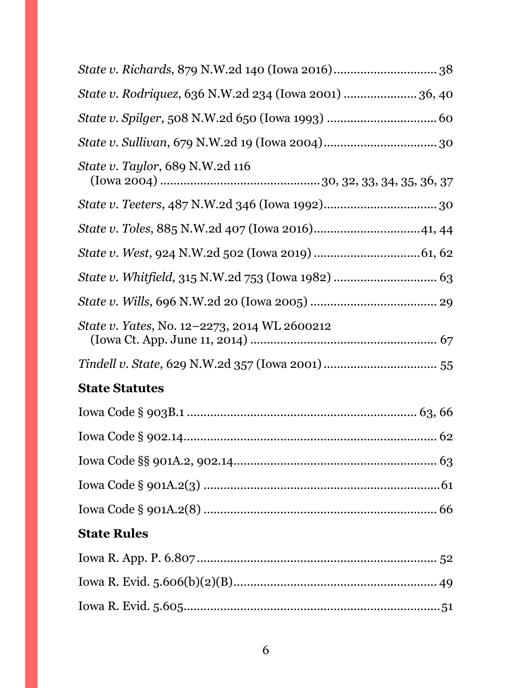| State v. Rodriquez, 636 N.W.2d 234 (Iowa 2001)  36, 40 |  |
|--------------------------------------------------------|--|
|                                                        |  |
|                                                        |  |
| <i>State v. Taylor</i> , 689 N.W.2d 116                |  |
|                                                        |  |
|                                                        |  |
|                                                        |  |
|                                                        |  |
|                                                        |  |
| State v. Yates, No. 12–2273, 2014 WL 2600212           |  |
|                                                        |  |
| <b>State Statutes</b>                                  |  |
|                                                        |  |
|                                                        |  |
|                                                        |  |
|                                                        |  |
|                                                        |  |
| <b>State Rules</b>                                     |  |
|                                                        |  |
|                                                        |  |
|                                                        |  |
|                                                        |  |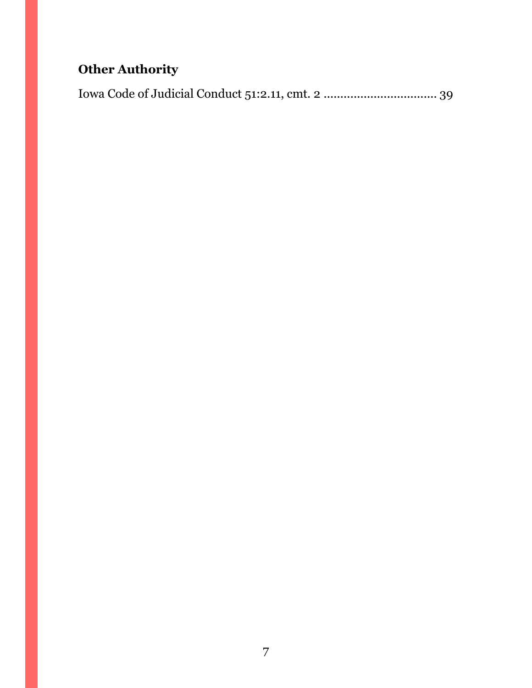# **Other Authority**

Iowa Code of Judicial Conduct 51:2.11, cmt. 2 .................................. 39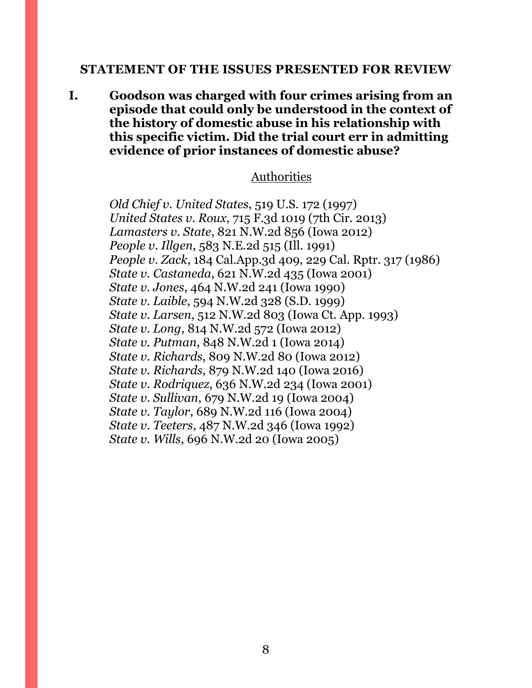#### <span id="page-7-0"></span>**STATEMENT OF THE ISSUES PRESENTED FOR REVIEW**

**I. Goodson was charged with four crimes arising from an episode that could only be understood in the context of the history of domestic abuse in his relationship with this specific victim. Did the trial court err in admitting evidence of prior instances of domestic abuse?**

#### Authorities

*Old Chief v. United States*, 519 U.S. 172 (1997) *United States v. Roux*, 715 F.3d 1019 (7th Cir. 2013) *Lamasters v. State*, 821 N.W.2d 856 (Iowa 2012) *People v. Illgen*, 583 N.E.2d 515 (Ill. 1991) *People v. Zack*, 184 Cal.App.3d 409, 229 Cal. Rptr. 317 (1986) *State v. Castaneda*, 621 N.W.2d 435 (Iowa 2001) *State v. Jones*, 464 N.W.2d 241 (Iowa 1990) *State v. Laible*, 594 N.W.2d 328 (S.D. 1999) *State v. Larsen*, 512 N.W.2d 803 (Iowa Ct. App. 1993) *State v. Long*, 814 N.W.2d 572 (Iowa 2012) *State v. Putman*, 848 N.W.2d 1 (Iowa 2014) *State v. Richards*, 809 N.W.2d 80 (Iowa 2012) *State v. Richards*, 879 N.W.2d 140 (Iowa 2016) *State v. Rodriquez*, 636 N.W.2d 234 (Iowa 2001) *State v. Sullivan*, 679 N.W.2d 19 (Iowa 2004) *State v. Taylor*, 689 N.W.2d 116 (Iowa 2004) *State v. Teeters*, 487 N.W.2d 346 (Iowa 1992) *State v. Wills*, 696 N.W.2d 20 (Iowa 2005)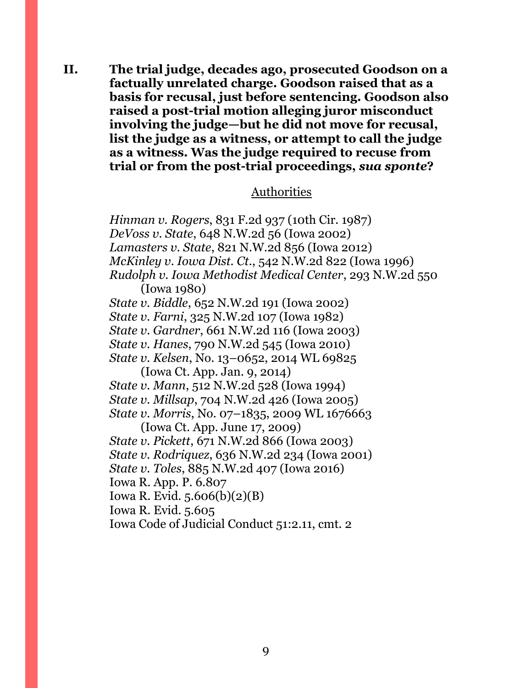**II. The trial judge, decades ago, prosecuted Goodson on a factually unrelated charge. Goodson raised that as a basis for recusal, just before sentencing. Goodson also raised a post-trial motion alleging juror misconduct involving the judge—but he did not move for recusal, list the judge as a witness, or attempt to call the judge as a witness. Was the judge required to recuse from trial or from the post-trial proceedings,** *sua sponte***?** 

#### Authorities

*Hinman v. Rogers*, 831 F.2d 937 (10th Cir. 1987) *DeVoss v. State*, 648 N.W.2d 56 (Iowa 2002) *Lamasters v. State*, 821 N.W.2d 856 (Iowa 2012) *McKinley v. Iowa Dist. Ct*., 542 N.W.2d 822 (Iowa 1996) *Rudolph v. Iowa Methodist Medical Center*, 293 N.W.2d 550 (Iowa 1980) *State v. Biddle*, 652 N.W.2d 191 (Iowa 2002) *State v. Farni*, 325 N.W.2d 107 (Iowa 1982) *State v. Gardner*, 661 N.W.2d 116 (Iowa 2003) *State v. Hanes*, 790 N.W.2d 545 (Iowa 2010) *State v. Kelsen*, No. 13–0652, 2014 WL 69825 (Iowa Ct. App. Jan. 9, 2014) *State v. Mann*, 512 N.W.2d 528 (Iowa 1994) *State v. Millsap*, 704 N.W.2d 426 (Iowa 2005) *State v. Morris*, No. 07–1835, 2009 WL 1676663 (Iowa Ct. App. June 17, 2009) *State v. Pickett*, 671 N.W.2d 866 (Iowa 2003) *State v. Rodriquez*, 636 N.W.2d 234 (Iowa 2001) *State v. Toles*, 885 N.W.2d 407 (Iowa 2016) Iowa R. App. P. 6.807 Iowa R. Evid. 5.606(b)(2)(B) Iowa R. Evid. 5.605 Iowa Code of Judicial Conduct 51:2.11, cmt. 2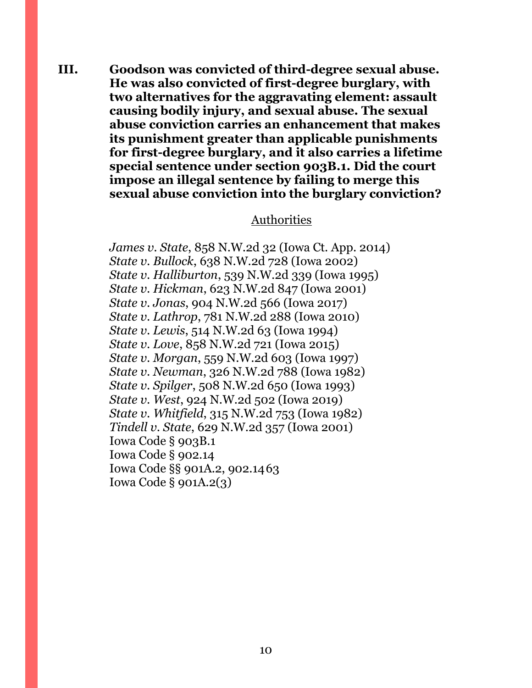**III. Goodson was convicted of third-degree sexual abuse. He was also convicted of first-degree burglary, with two alternatives for the aggravating element: assault causing bodily injury, and sexual abuse. The sexual abuse conviction carries an enhancement that makes its punishment greater than applicable punishments for first-degree burglary, and it also carries a lifetime special sentence under section 903B.1. Did the court impose an illegal sentence by failing to merge this sexual abuse conviction into the burglary conviction?**

#### Authorities

*James v. State*, 858 N.W.2d 32 (Iowa Ct. App. 2014) *State v. Bullock*, 638 N.W.2d 728 (Iowa 2002) *State v. Halliburton*, 539 N.W.2d 339 (Iowa 1995) *State v. Hickman*, 623 N.W.2d 847 (Iowa 2001) *State v. Jonas*, 904 N.W.2d 566 (Iowa 2017) *State v. Lathrop*, 781 N.W.2d 288 (Iowa 2010) *State v. Lewis*, 514 N.W.2d 63 (Iowa 1994) *State v. Love*, 858 N.W.2d 721 (Iowa 2015) *State v. Morgan*, 559 N.W.2d 603 (Iowa 1997) *State v. Newman*, 326 N.W.2d 788 (Iowa 1982) *State v. Spilger*, 508 N.W.2d 650 (Iowa 1993) *State v. West*, 924 N.W.2d 502 (Iowa 2019) *State v. Whitfield*, 315 N.W.2d 753 (Iowa 1982) *Tindell v. State*, 629 N.W.2d 357 (Iowa 2001) Iowa Code § 903B.1 Iowa Code § 902.14 Iowa Code §§ 901A.2, 902.1463 Iowa Code § 901A.2(3)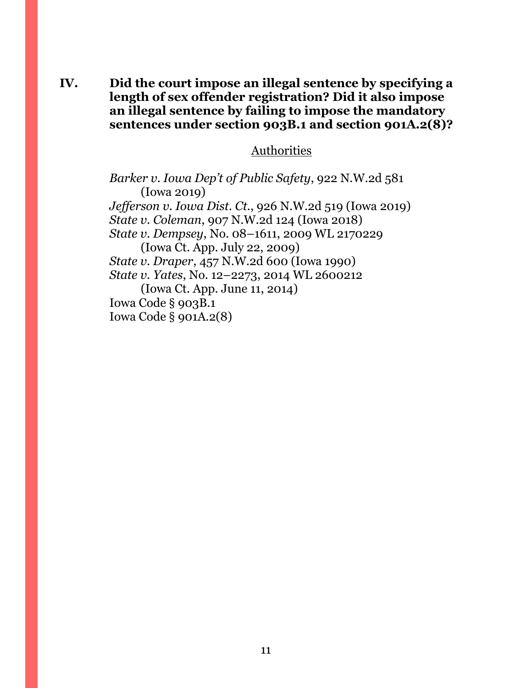**IV. Did the court impose an illegal sentence by specifying a length of sex offender registration? Did it also impose an illegal sentence by failing to impose the mandatory sentences under section 903B.1 and section 901A.2(8)?**

#### Authorities

*Barker v. Iowa Dep't of Public Safety*, 922 N.W.2d 581 (Iowa 2019) *Jefferson v. Iowa Dist. Ct.*, 926 N.W.2d 519 (Iowa 2019) *State v. Coleman*, 907 N.W.2d 124 (Iowa 2018) *State v. Dempsey*, No. 08–1611, 2009 WL 2170229 (Iowa Ct. App. July 22, 2009) *State v. Draper*, 457 N.W.2d 600 (Iowa 1990) *State v. Yates*, No. 12–2273, 2014 WL 2600212 (Iowa Ct. App. June 11, 2014) Iowa Code § 903B.1 Iowa Code § 901A.2(8)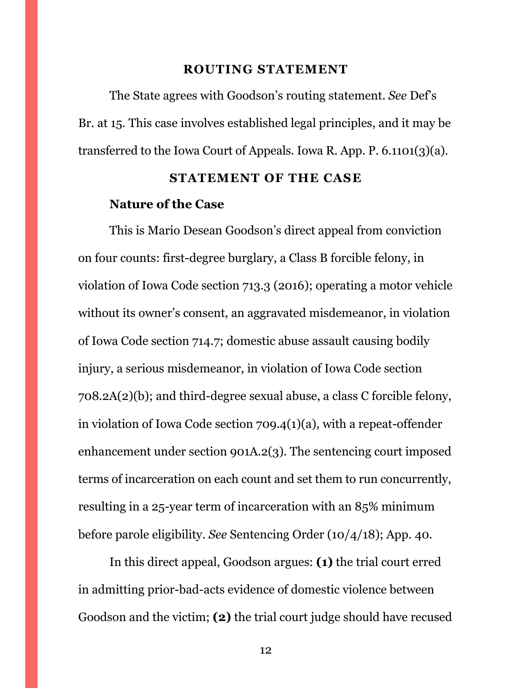#### **ROUTING STATEMENT**

<span id="page-11-0"></span>The State agrees with Goodson's routing statement. *See* Def's Br. at 15. This case involves established legal principles, and it may be transferred to the Iowa Court of Appeals. Iowa R. App. P. 6.1101(3)(a).

#### **STATEMENT OF THE CASE**

#### <span id="page-11-1"></span>**Nature of the Case**

This is Mario Desean Goodson's direct appeal from conviction on four counts: first-degree burglary, a Class B forcible felony, in violation of Iowa Code section 713.3 (2016); operating a motor vehicle without its owner's consent, an aggravated misdemeanor, in violation of Iowa Code section 714.7; domestic abuse assault causing bodily injury, a serious misdemeanor, in violation of Iowa Code section 708.2A(2)(b); and third-degree sexual abuse, a class C forcible felony, in violation of Iowa Code section 709.4(1)(a), with a repeat-offender enhancement under section 901A.2(3). The sentencing court imposed terms of incarceration on each count and set them to run concurrently, resulting in a 25-year term of incarceration with an 85% minimum before parole eligibility. *See* Sentencing Order (10/4/18); App. 40.

In this direct appeal, Goodson argues: **(1)** the trial court erred in admitting prior-bad-acts evidence of domestic violence between Goodson and the victim; **(2)** the trial court judge should have recused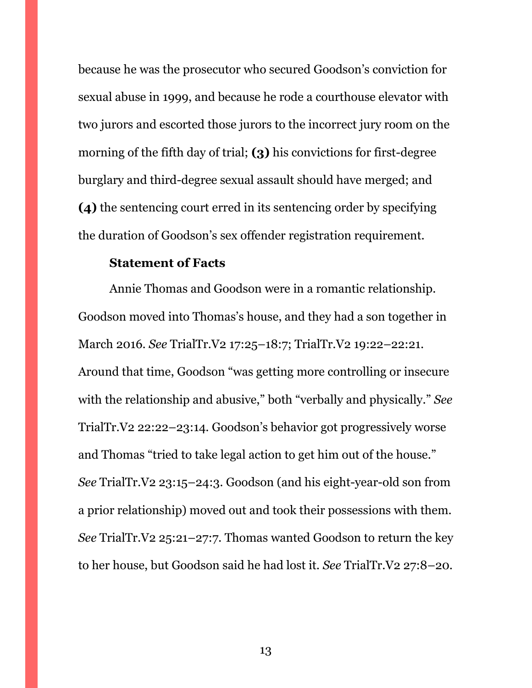because he was the prosecutor who secured Goodson's conviction for sexual abuse in 1999, and because he rode a courthouse elevator with two jurors and escorted those jurors to the incorrect jury room on the morning of the fifth day of trial; **(3)** his convictions for first-degree burglary and third-degree sexual assault should have merged; and **(4)** the sentencing court erred in its sentencing order by specifying the duration of Goodson's sex offender registration requirement.

#### **Statement of Facts**

Annie Thomas and Goodson were in a romantic relationship. Goodson moved into Thomas's house, and they had a son together in March 2016. *See* TrialTr.V2 17:25–18:7; TrialTr.V2 19:22–22:21. Around that time, Goodson "was getting more controlling or insecure with the relationship and abusive," both "verbally and physically." *See*  TrialTr.V2 22:22–23:14. Goodson's behavior got progressively worse and Thomas "tried to take legal action to get him out of the house." *See* TrialTr.V2 23:15–24:3. Goodson (and his eight-year-old son from a prior relationship) moved out and took their possessions with them. *See* TrialTr.V2 25:21–27:7. Thomas wanted Goodson to return the key to her house, but Goodson said he had lost it. *See* TrialTr.V2 27:8–20.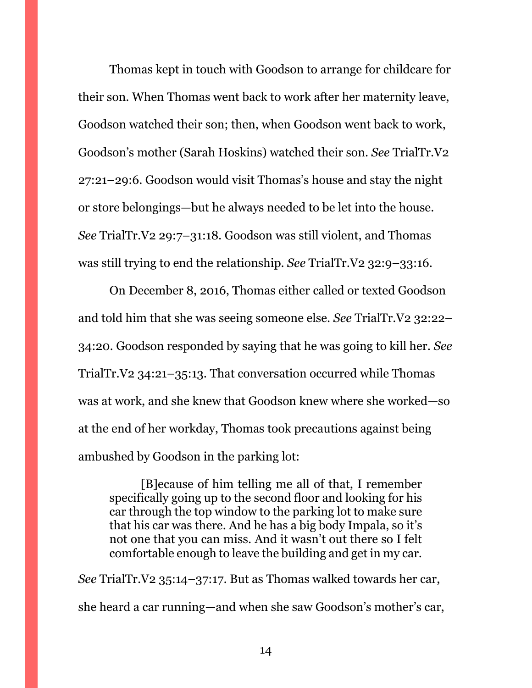Thomas kept in touch with Goodson to arrange for childcare for their son. When Thomas went back to work after her maternity leave, Goodson watched their son; then, when Goodson went back to work, Goodson's mother (Sarah Hoskins) watched their son. *See* TrialTr.V2 27:21–29:6. Goodson would visit Thomas's house and stay the night or store belongings—but he always needed to be let into the house. *See* TrialTr.V2 29:7–31:18. Goodson was still violent, and Thomas was still trying to end the relationship. *See* TrialTr.V2 32:9–33:16.

On December 8, 2016, Thomas either called or texted Goodson and told him that she was seeing someone else. *See* TrialTr.V2 32:22– 34:20. Goodson responded by saying that he was going to kill her. *See*  TrialTr.V2 34:21–35:13. That conversation occurred while Thomas was at work, and she knew that Goodson knew where she worked—so at the end of her workday, Thomas took precautions against being ambushed by Goodson in the parking lot:

[B]ecause of him telling me all of that, I remember specifically going up to the second floor and looking for his car through the top window to the parking lot to make sure that his car was there. And he has a big body Impala, so it's not one that you can miss. And it wasn't out there so I felt comfortable enough to leave the building and get in my car.

*See* TrialTr.V2 35:14–37:17. But as Thomas walked towards her car, she heard a car running—and when she saw Goodson's mother's car,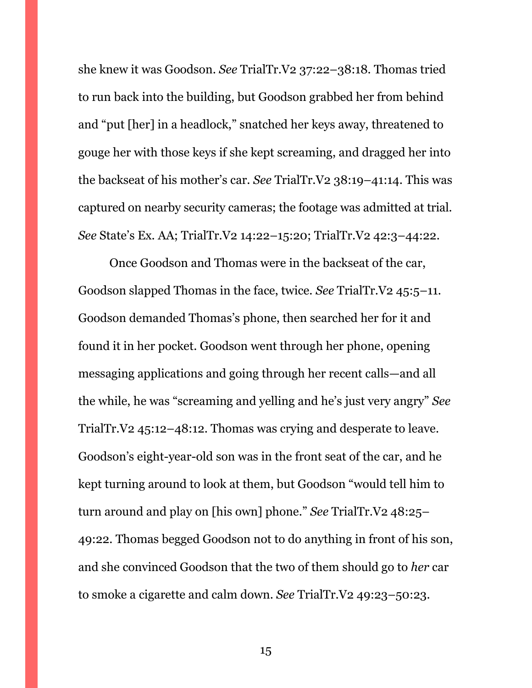she knew it was Goodson. *See* TrialTr.V2 37:22–38:18. Thomas tried to run back into the building, but Goodson grabbed her from behind and "put [her] in a headlock," snatched her keys away, threatened to gouge her with those keys if she kept screaming, and dragged her into the backseat of his mother's car. *See* TrialTr.V2 38:19–41:14. This was captured on nearby security cameras; the footage was admitted at trial. *See* State's Ex. AA; TrialTr.V2 14:22–15:20; TrialTr.V2 42:3–44:22.

Once Goodson and Thomas were in the backseat of the car, Goodson slapped Thomas in the face, twice. *See* TrialTr.V2 45:5–11. Goodson demanded Thomas's phone, then searched her for it and found it in her pocket. Goodson went through her phone, opening messaging applications and going through her recent calls—and all the while, he was "screaming and yelling and he's just very angry" *See*  TrialTr.V2 45:12–48:12. Thomas was crying and desperate to leave. Goodson's eight-year-old son was in the front seat of the car, and he kept turning around to look at them, but Goodson "would tell him to turn around and play on [his own] phone." *See* TrialTr.V2 48:25– 49:22. Thomas begged Goodson not to do anything in front of his son, and she convinced Goodson that the two of them should go to *her* car to smoke a cigarette and calm down. *See* TrialTr.V2 49:23–50:23.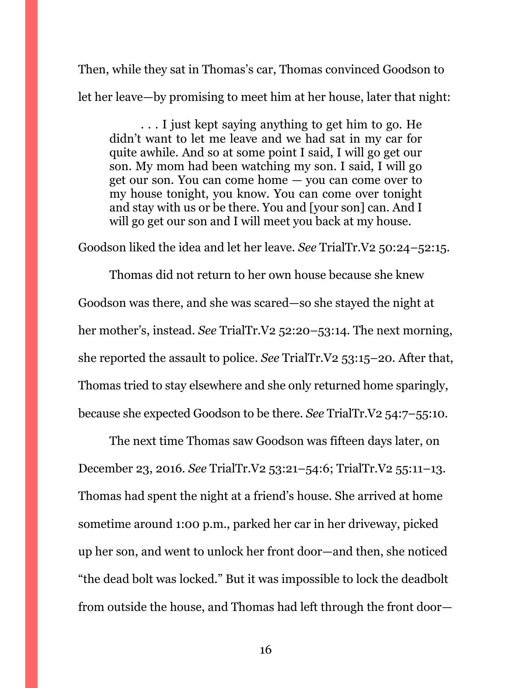Then, while they sat in Thomas's car, Thomas convinced Goodson to let her leave—by promising to meet him at her house, later that night:

. . . I just kept saying anything to get him to go. He didn't want to let me leave and we had sat in my car for quite awhile. And so at some point I said, I will go get our son. My mom had been watching my son. I said, I will go get our son. You can come home — you can come over to my house tonight, you know. You can come over tonight and stay with us or be there. You and [your son] can. And I will go get our son and I will meet you back at my house.

Goodson liked the idea and let her leave. *See* TrialTr.V2 50:24–52:15.

Thomas did not return to her own house because she knew Goodson was there, and she was scared—so she stayed the night at her mother's, instead. *See* TrialTr.V2 52:20–53:14. The next morning, she reported the assault to police. *See* TrialTr.V2 53:15–20. After that, Thomas tried to stay elsewhere and she only returned home sparingly, because she expected Goodson to be there. *See* TrialTr.V2 54:7–55:10.

The next time Thomas saw Goodson was fifteen days later, on December 23, 2016. *See* TrialTr.V2 53:21–54:6; TrialTr.V2 55:11–13. Thomas had spent the night at a friend's house. She arrived at home sometime around 1:00 p.m., parked her car in her driveway, picked up her son, and went to unlock her front door—and then, she noticed "the dead bolt was locked." But it was impossible to lock the deadbolt from outside the house, and Thomas had left through the front door—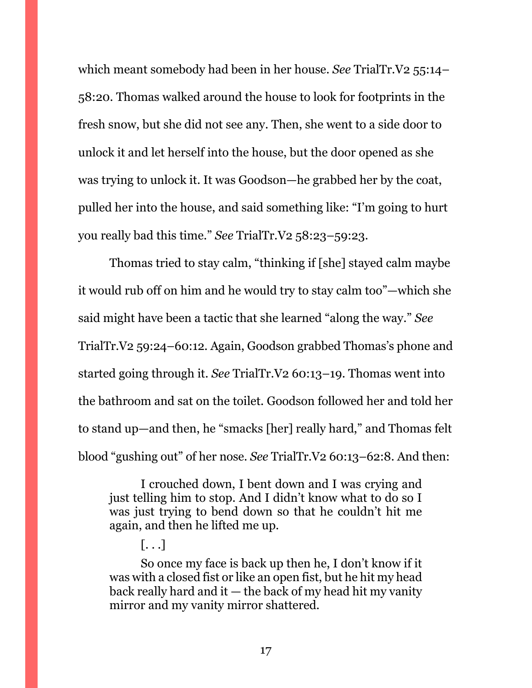which meant somebody had been in her house. *See* TrialTr.V2 55:14– 58:20. Thomas walked around the house to look for footprints in the fresh snow, but she did not see any. Then, she went to a side door to unlock it and let herself into the house, but the door opened as she was trying to unlock it. It was Goodson—he grabbed her by the coat, pulled her into the house, and said something like: "I'm going to hurt you really bad this time." *See* TrialTr.V2 58:23–59:23.

Thomas tried to stay calm, "thinking if [she] stayed calm maybe it would rub off on him and he would try to stay calm too"—which she said might have been a tactic that she learned "along the way." *See*  TrialTr.V2 59:24–60:12. Again, Goodson grabbed Thomas's phone and started going through it. *See* TrialTr.V2 60:13–19. Thomas went into the bathroom and sat on the toilet. Goodson followed her and told her to stand up—and then, he "smacks [her] really hard," and Thomas felt blood "gushing out" of her nose. *See* TrialTr.V2 60:13–62:8. And then:

I crouched down, I bent down and I was crying and just telling him to stop. And I didn't know what to do so I was just trying to bend down so that he couldn't hit me again, and then he lifted me up.

So once my face is back up then he, I don't know if it was with a closed fist or like an open fist, but he hit my head back really hard and it — the back of my head hit my vanity mirror and my vanity mirror shattered.

 $\lceil \dots \rceil$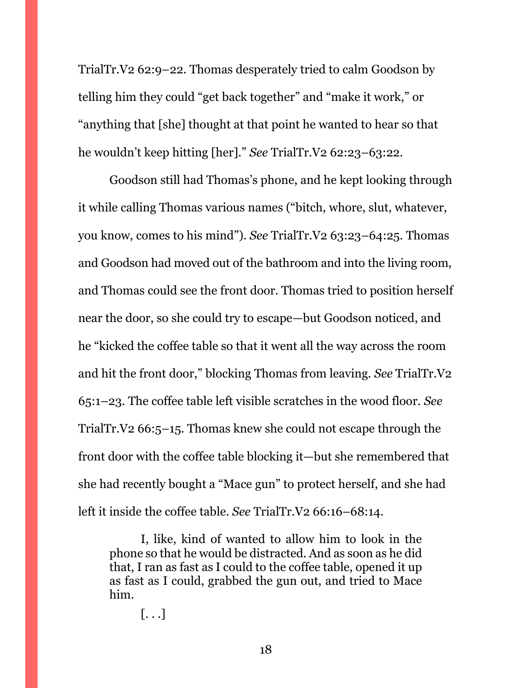TrialTr.V2 62:9–22. Thomas desperately tried to calm Goodson by telling him they could "get back together" and "make it work," or "anything that [she] thought at that point he wanted to hear so that he wouldn't keep hitting [her]." *See* TrialTr.V2 62:23–63:22.

Goodson still had Thomas's phone, and he kept looking through it while calling Thomas various names ("bitch, whore, slut, whatever, you know, comes to his mind"). *See* TrialTr.V2 63:23–64:25. Thomas and Goodson had moved out of the bathroom and into the living room, and Thomas could see the front door. Thomas tried to position herself near the door, so she could try to escape—but Goodson noticed, and he "kicked the coffee table so that it went all the way across the room and hit the front door," blocking Thomas from leaving. *See* TrialTr.V2 65:1–23. The coffee table left visible scratches in the wood floor. *See*  TrialTr.V2 66:5–15. Thomas knew she could not escape through the front door with the coffee table blocking it—but she remembered that she had recently bought a "Mace gun" to protect herself, and she had left it inside the coffee table. *See* TrialTr.V2 66:16–68:14.

I, like, kind of wanted to allow him to look in the phone so that he would be distracted. And as soon as he did that, I ran as fast as I could to the coffee table, opened it up as fast as I could, grabbed the gun out, and tried to Mace him.

 $\left[\ldots\right]$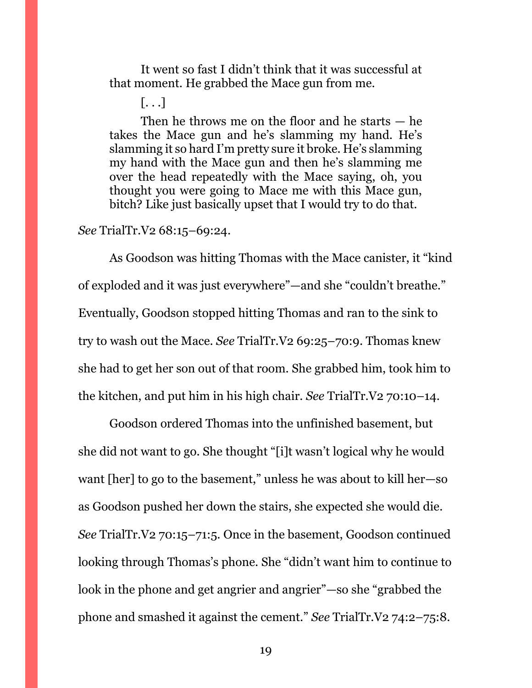It went so fast I didn't think that it was successful at that moment. He grabbed the Mace gun from me.

[. . .]

Then he throws me on the floor and he starts — he takes the Mace gun and he's slamming my hand. He's slamming it so hard I'm pretty sure it broke. He's slamming my hand with the Mace gun and then he's slamming me over the head repeatedly with the Mace saying, oh, you thought you were going to Mace me with this Mace gun, bitch? Like just basically upset that I would try to do that.

#### *See* TrialTr.V2 68:15–69:24.

As Goodson was hitting Thomas with the Mace canister, it "kind of exploded and it was just everywhere"—and she "couldn't breathe." Eventually, Goodson stopped hitting Thomas and ran to the sink to try to wash out the Mace. *See* TrialTr.V2 69:25–70:9. Thomas knew she had to get her son out of that room. She grabbed him, took him to the kitchen, and put him in his high chair. *See* TrialTr.V2 70:10–14.

Goodson ordered Thomas into the unfinished basement, but she did not want to go. She thought "[i]t wasn't logical why he would want [her] to go to the basement," unless he was about to kill her—so as Goodson pushed her down the stairs, she expected she would die. *See* TrialTr.V2 70:15–71:5. Once in the basement, Goodson continued looking through Thomas's phone. She "didn't want him to continue to look in the phone and get angrier and angrier"—so she "grabbed the phone and smashed it against the cement." *See* TrialTr.V2 74:2–75:8.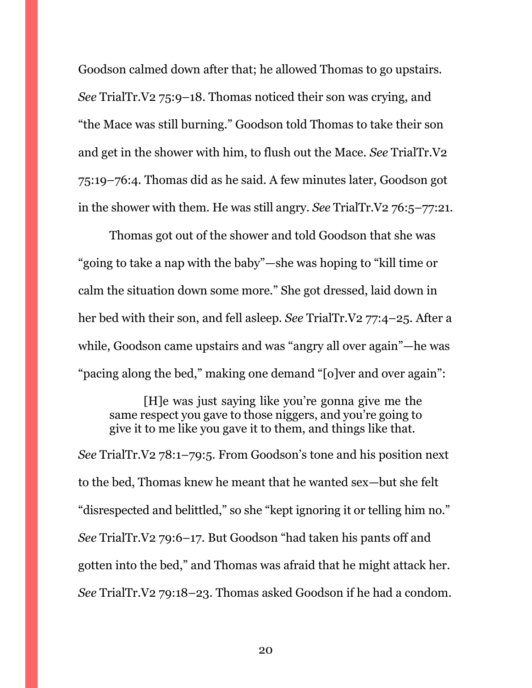Goodson calmed down after that; he allowed Thomas to go upstairs. *See* TrialTr.V2 75:9–18. Thomas noticed their son was crying, and "the Mace was still burning." Goodson told Thomas to take their son and get in the shower with him, to flush out the Mace. *See* TrialTr.V2 75:19–76:4. Thomas did as he said. A few minutes later, Goodson got in the shower with them. He was still angry. *See* TrialTr.V2 76:5–77:21.

Thomas got out of the shower and told Goodson that she was "going to take a nap with the baby"—she was hoping to "kill time or calm the situation down some more." She got dressed, laid down in her bed with their son, and fell asleep. *See* TrialTr.V2 77:4–25. After a while, Goodson came upstairs and was "angry all over again"—he was "pacing along the bed," making one demand "[o]ver and over again":

[H]e was just saying like you're gonna give me the same respect you gave to those niggers, and you're going to give it to me like you gave it to them, and things like that.

*See* TrialTr.V2 78:1–79:5. From Goodson's tone and his position next to the bed, Thomas knew he meant that he wanted sex—but she felt "disrespected and belittled," so she "kept ignoring it or telling him no." *See* TrialTr.V2 79:6–17. But Goodson "had taken his pants off and gotten into the bed," and Thomas was afraid that he might attack her. *See* TrialTr.V2 79:18–23. Thomas asked Goodson if he had a condom.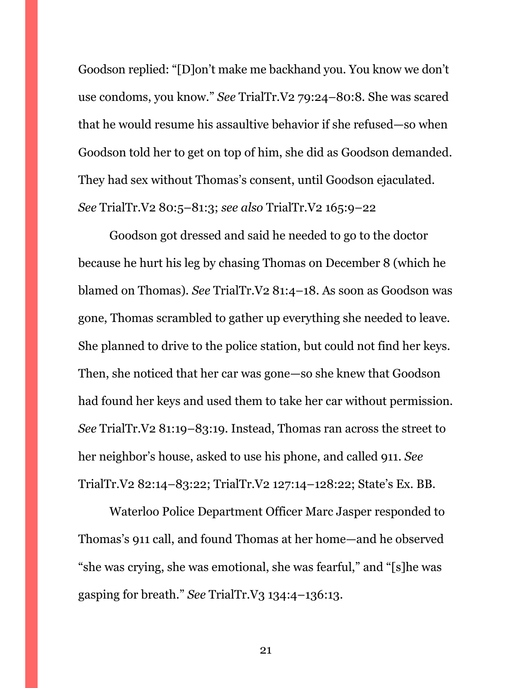Goodson replied: "[D]on't make me backhand you. You know we don't use condoms, you know." *See* TrialTr.V2 79:24–80:8. She was scared that he would resume his assaultive behavior if she refused—so when Goodson told her to get on top of him, she did as Goodson demanded. They had sex without Thomas's consent, until Goodson ejaculated. *See* TrialTr.V2 80:5–81:3; *see also* TrialTr.V2 165:9–22

Goodson got dressed and said he needed to go to the doctor because he hurt his leg by chasing Thomas on December 8 (which he blamed on Thomas). *See* TrialTr.V2 81:4–18. As soon as Goodson was gone, Thomas scrambled to gather up everything she needed to leave. She planned to drive to the police station, but could not find her keys. Then, she noticed that her car was gone—so she knew that Goodson had found her keys and used them to take her car without permission. *See* TrialTr.V2 81:19–83:19. Instead, Thomas ran across the street to her neighbor's house, asked to use his phone, and called 911. *See*  TrialTr.V2 82:14–83:22; TrialTr.V2 127:14–128:22; State's Ex. BB.

Waterloo Police Department Officer Marc Jasper responded to Thomas's 911 call, and found Thomas at her home—and he observed "she was crying, she was emotional, she was fearful," and "[s]he was gasping for breath." *See* TrialTr.V3 134:4–136:13.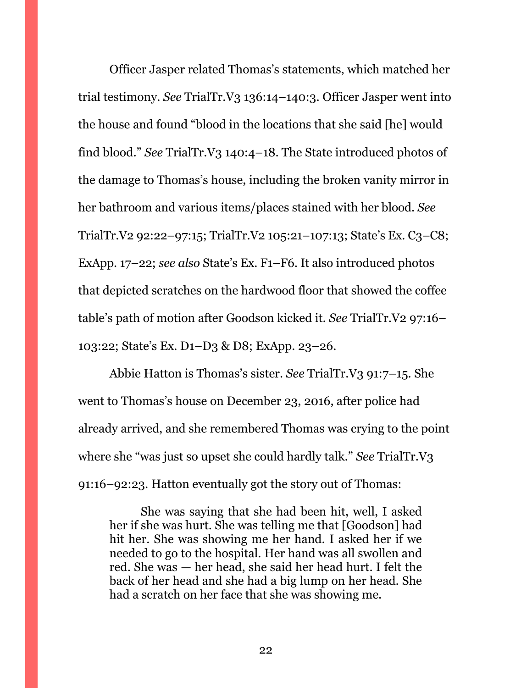Officer Jasper related Thomas's statements, which matched her trial testimony. *See* TrialTr.V3 136:14–140:3. Officer Jasper went into the house and found "blood in the locations that she said [he] would find blood." *See* TrialTr.V3 140:4–18. The State introduced photos of the damage to Thomas's house, including the broken vanity mirror in her bathroom and various items/places stained with her blood. *See*  TrialTr.V2 92:22–97:15; TrialTr.V2 105:21–107:13; State's Ex. C3–C8; ExApp. 17–22; *see also* State's Ex. F1–F6. It also introduced photos that depicted scratches on the hardwood floor that showed the coffee table's path of motion after Goodson kicked it. *See* TrialTr.V2 97:16– 103:22; State's Ex. D1–D3 & D8; ExApp. 23–26.

Abbie Hatton is Thomas's sister. *See* TrialTr.V3 91:7–15. She went to Thomas's house on December 23, 2016, after police had already arrived, and she remembered Thomas was crying to the point where she "was just so upset she could hardly talk." *See* TrialTr.V3 91:16–92:23. Hatton eventually got the story out of Thomas:

She was saying that she had been hit, well, I asked her if she was hurt. She was telling me that [Goodson] had hit her. She was showing me her hand. I asked her if we needed to go to the hospital. Her hand was all swollen and red. She was — her head, she said her head hurt. I felt the back of her head and she had a big lump on her head. She had a scratch on her face that she was showing me.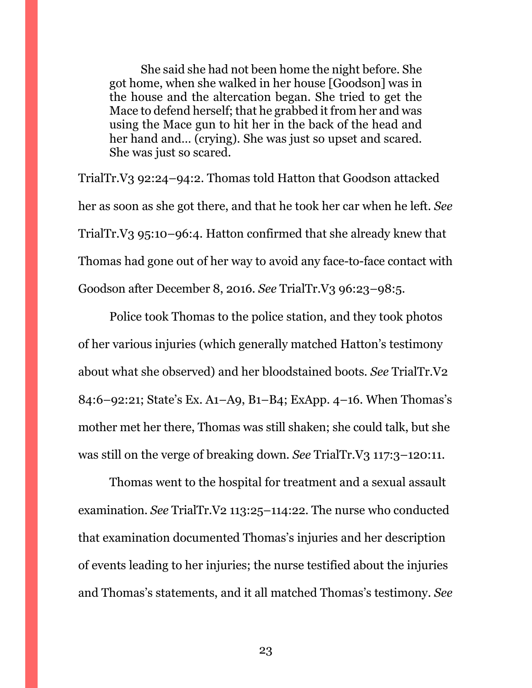She said she had not been home the night before. She got home, when she walked in her house [Goodson] was in the house and the altercation began. She tried to get the Mace to defend herself; that he grabbed it from her and was using the Mace gun to hit her in the back of the head and her hand and... (crying). She was just so upset and scared. She was just so scared.

TrialTr.V3 92:24–94:2. Thomas told Hatton that Goodson attacked her as soon as she got there, and that he took her car when he left. *See*  TrialTr.V3 95:10–96:4. Hatton confirmed that she already knew that Thomas had gone out of her way to avoid any face-to-face contact with Goodson after December 8, 2016. *See* TrialTr.V3 96:23–98:5.

Police took Thomas to the police station, and they took photos of her various injuries (which generally matched Hatton's testimony about what she observed) and her bloodstained boots. *See* TrialTr.V2 84:6–92:21; State's Ex. A1–A9, B1–B4; ExApp. 4–16. When Thomas's mother met her there, Thomas was still shaken; she could talk, but she was still on the verge of breaking down. *See* TrialTr.V3 117:3–120:11.

Thomas went to the hospital for treatment and a sexual assault examination. *See* TrialTr.V2 113:25–114:22. The nurse who conducted that examination documented Thomas's injuries and her description of events leading to her injuries; the nurse testified about the injuries and Thomas's statements, and it all matched Thomas's testimony. *See*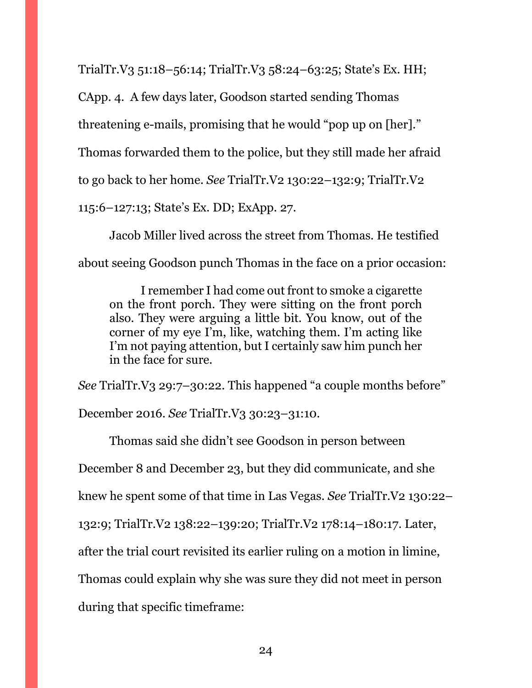TrialTr.V3 51:18–56:14; TrialTr.V3 58:24–63:25; State's Ex. HH;

CApp. 4. A few days later, Goodson started sending Thomas threatening e-mails, promising that he would "pop up on [her]." Thomas forwarded them to the police, but they still made her afraid to go back to her home. *See* TrialTr.V2 130:22–132:9; TrialTr.V2 115:6–127:13; State's Ex. DD; ExApp. 27.

Jacob Miller lived across the street from Thomas. He testified about seeing Goodson punch Thomas in the face on a prior occasion:

I remember I had come out front to smoke a cigarette on the front porch. They were sitting on the front porch also. They were arguing a little bit. You know, out of the corner of my eye I'm, like, watching them. I'm acting like I'm not paying attention, but I certainly saw him punch her in the face for sure.

*See* TrialTr.V3 29:7–30:22. This happened "a couple months before" December 2016. *See* TrialTr.V3 30:23–31:10.

Thomas said she didn't see Goodson in person between December 8 and December 23, but they did communicate, and she knew he spent some of that time in Las Vegas. *See* TrialTr.V2 130:22– 132:9; TrialTr.V2 138:22–139:20; TrialTr.V2 178:14–180:17. Later, after the trial court revisited its earlier ruling on a motion in limine, Thomas could explain why she was sure they did not meet in person during that specific timeframe: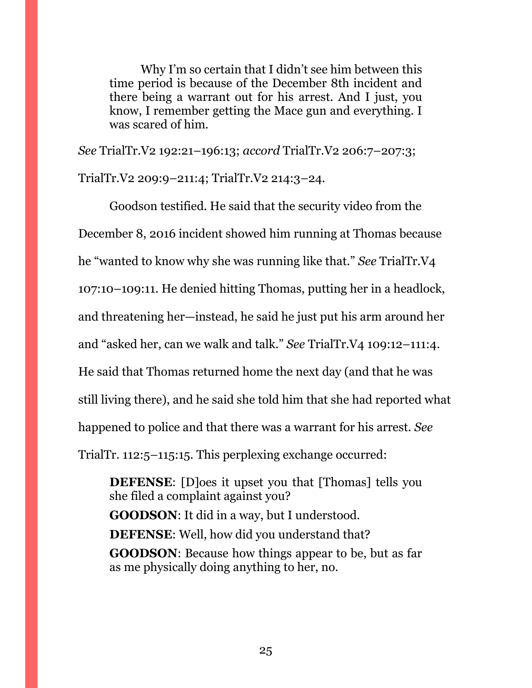Why I'm so certain that I didn't see him between this time period is because of the December 8th incident and there being a warrant out for his arrest. And I just, you know, I remember getting the Mace gun and everything. I was scared of him.

*See* TrialTr.V2 192:21–196:13; *accord* TrialTr.V2 206:7–207:3; TrialTr.V2 209:9–211:4; TrialTr.V2 214:3–24.

Goodson testified. He said that the security video from the December 8, 2016 incident showed him running at Thomas because he "wanted to know why she was running like that." *See* TrialTr.V4 107:10–109:11. He denied hitting Thomas, putting her in a headlock, and threatening her—instead, he said he just put his arm around her and "asked her, can we walk and talk." *See* TrialTr.V4 109:12–111:4. He said that Thomas returned home the next day (and that he was still living there), and he said she told him that she had reported what happened to police and that there was a warrant for his arrest. *See*  TrialTr. 112:5–115:15. This perplexing exchange occurred:

**DEFENSE:** [D]oes it upset you that [Thomas] tells you she filed a complaint against you? **GOODSON**: It did in a way, but I understood. **DEFENSE**: Well, how did you understand that? **GOODSON**: Because how things appear to be, but as far as me physically doing anything to her, no.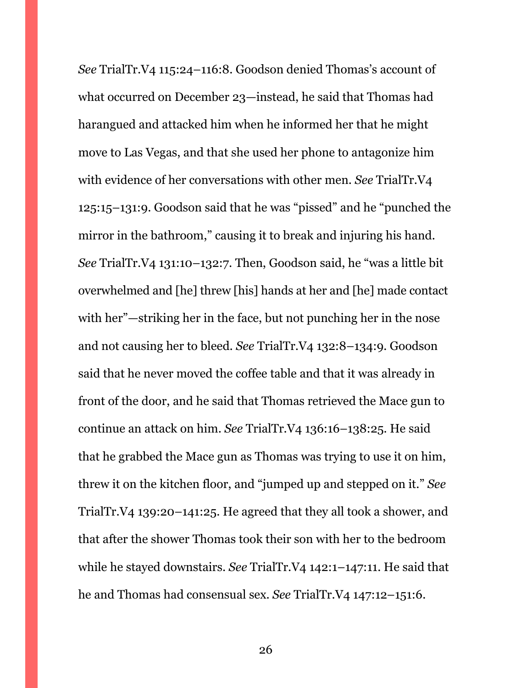*See* TrialTr.V4 115:24–116:8. Goodson denied Thomas's account of what occurred on December 23—instead, he said that Thomas had harangued and attacked him when he informed her that he might move to Las Vegas, and that she used her phone to antagonize him with evidence of her conversations with other men. *See* TrialTr.V4 125:15–131:9. Goodson said that he was "pissed" and he "punched the mirror in the bathroom," causing it to break and injuring his hand. *See* TrialTr.V4 131:10–132:7. Then, Goodson said, he "was a little bit overwhelmed and [he] threw [his] hands at her and [he] made contact with her"—striking her in the face, but not punching her in the nose and not causing her to bleed. *See* TrialTr.V4 132:8–134:9. Goodson said that he never moved the coffee table and that it was already in front of the door, and he said that Thomas retrieved the Mace gun to continue an attack on him. *See* TrialTr.V4 136:16–138:25. He said that he grabbed the Mace gun as Thomas was trying to use it on him, threw it on the kitchen floor, and "jumped up and stepped on it." *See*  TrialTr.V4 139:20–141:25. He agreed that they all took a shower, and that after the shower Thomas took their son with her to the bedroom while he stayed downstairs. *See* TrialTr.V4 142:1–147:11. He said that he and Thomas had consensual sex. *See* TrialTr.V4 147:12–151:6.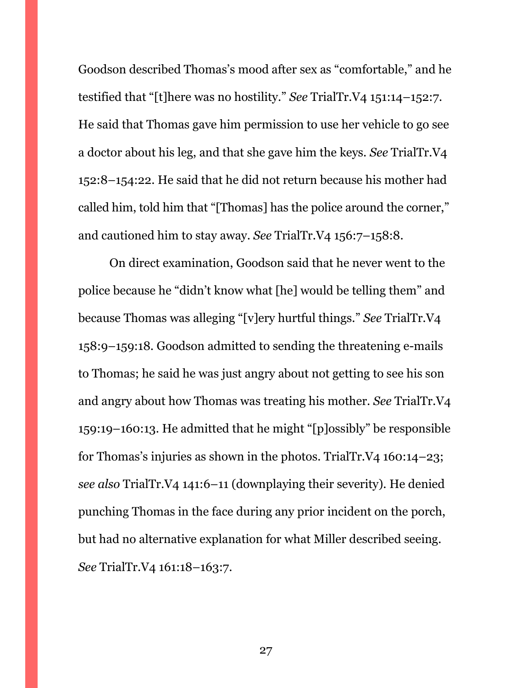Goodson described Thomas's mood after sex as "comfortable," and he testified that "[t]here was no hostility." *See* TrialTr.V4 151:14–152:7. He said that Thomas gave him permission to use her vehicle to go see a doctor about his leg, and that she gave him the keys. *See* TrialTr.V4 152:8–154:22. He said that he did not return because his mother had called him, told him that "[Thomas] has the police around the corner," and cautioned him to stay away. *See* TrialTr.V4 156:7–158:8.

On direct examination, Goodson said that he never went to the police because he "didn't know what [he] would be telling them" and because Thomas was alleging "[v]ery hurtful things." *See* TrialTr.V4 158:9–159:18. Goodson admitted to sending the threatening e-mails to Thomas; he said he was just angry about not getting to see his son and angry about how Thomas was treating his mother. *See* TrialTr.V4 159:19–160:13. He admitted that he might "[p]ossibly" be responsible for Thomas's injuries as shown in the photos. TrialTr.V4 160:14–23; *see also* TrialTr.V4 141:6–11 (downplaying their severity). He denied punching Thomas in the face during any prior incident on the porch, but had no alternative explanation for what Miller described seeing. *See* TrialTr.V4 161:18–163:7.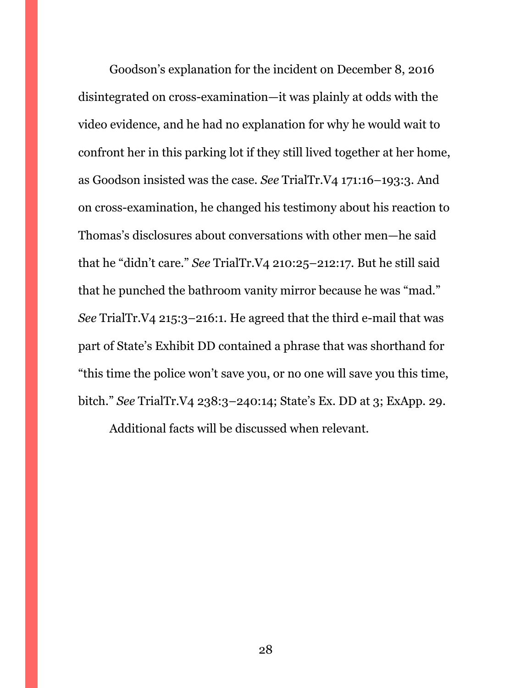Goodson's explanation for the incident on December 8, 2016 disintegrated on cross-examination—it was plainly at odds with the video evidence, and he had no explanation for why he would wait to confront her in this parking lot if they still lived together at her home, as Goodson insisted was the case. *See* TrialTr.V4 171:16–193:3. And on cross-examination, he changed his testimony about his reaction to Thomas's disclosures about conversations with other men—he said that he "didn't care." *See* TrialTr.V4 210:25–212:17. But he still said that he punched the bathroom vanity mirror because he was "mad." *See* TrialTr.V4 215:3–216:1. He agreed that the third e-mail that was part of State's Exhibit DD contained a phrase that was shorthand for "this time the police won't save you, or no one will save you this time, bitch." *See* TrialTr.V4 238:3–240:14; State's Ex. DD at 3; ExApp. 29.

Additional facts will be discussed when relevant.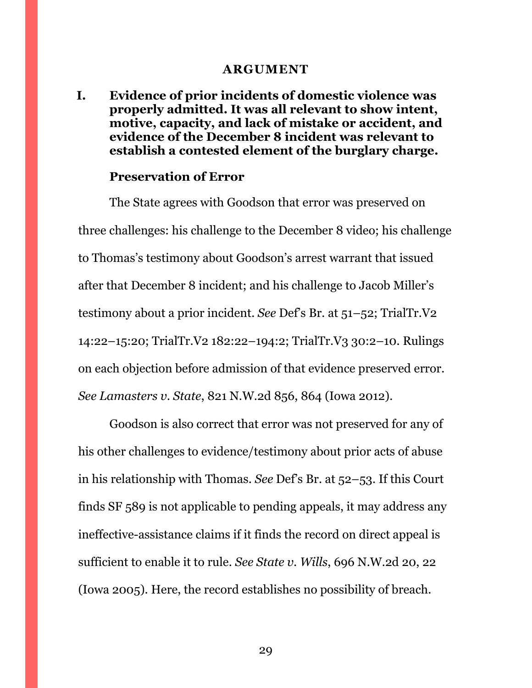#### **ARGUMENT**

<span id="page-28-1"></span><span id="page-28-0"></span>**I. Evidence of prior incidents of domestic violence was properly admitted. It was all relevant to show intent, motive, capacity, and lack of mistake or accident, and evidence of the December 8 incident was relevant to establish a contested element of the burglary charge.**

#### **Preservation of Error**

The State agrees with Goodson that error was preserved on three challenges: his challenge to the December 8 video; his challenge to Thomas's testimony about Goodson's arrest warrant that issued after that December 8 incident; and his challenge to Jacob Miller's testimony about a prior incident. *See* Def's Br. at 51–52; TrialTr.V2 14:22–15:20; TrialTr.V2 182:22–194:2; TrialTr.V3 30:2–10. Rulings on each objection before admission of that evidence preserved error. *See Lamasters v. State*, 821 N.W.2d 856, 864 (Iowa 2012).

Goodson is also correct that error was not preserved for any of his other challenges to evidence/testimony about prior acts of abuse in his relationship with Thomas. *See* Def's Br. at 52–53. If this Court finds SF 589 is not applicable to pending appeals, it may address any ineffective-assistance claims if it finds the record on direct appeal is sufficient to enable it to rule. *See State v. Wills*, 696 N.W.2d 20, 22 (Iowa 2005). Here, the record establishes no possibility of breach.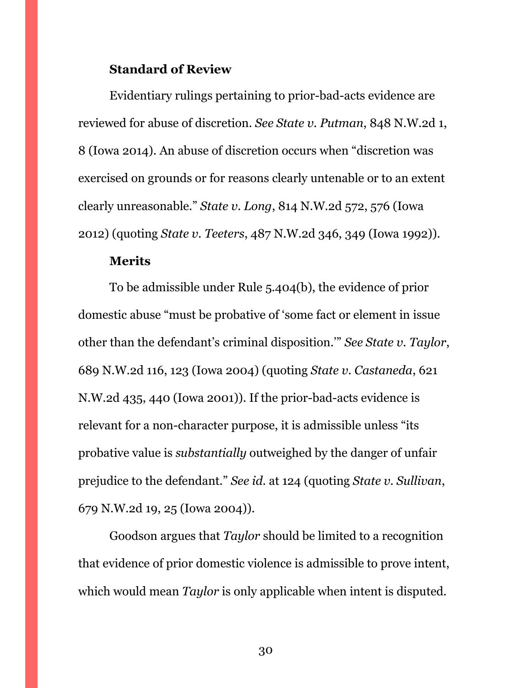#### **Standard of Review**

Evidentiary rulings pertaining to prior-bad-acts evidence are reviewed for abuse of discretion. *See State v. Putman*, 848 N.W.2d 1, 8 (Iowa 2014). An abuse of discretion occurs when "discretion was exercised on grounds or for reasons clearly untenable or to an extent clearly unreasonable." *State v. Long*, 814 N.W.2d 572, 576 (Iowa 2012) (quoting *State v. Teeters*, 487 N.W.2d 346, 349 (Iowa 1992)).

#### **Merits**

To be admissible under Rule 5.404(b), the evidence of prior domestic abuse "must be probative of 'some fact or element in issue other than the defendant's criminal disposition.'" *See State v. Taylor*, 689 N.W.2d 116, 123 (Iowa 2004) (quoting *State v. Castaneda*, 621 N.W.2d 435, 440 (Iowa 2001)). If the prior-bad-acts evidence is relevant for a non-character purpose, it is admissible unless "its probative value is *substantially* outweighed by the danger of unfair prejudice to the defendant." *See id.* at 124 (quoting *State v. Sullivan*, 679 N.W.2d 19, 25 (Iowa 2004)).

Goodson argues that *Taylor* should be limited to a recognition that evidence of prior domestic violence is admissible to prove intent, which would mean *Taylor* is only applicable when intent is disputed.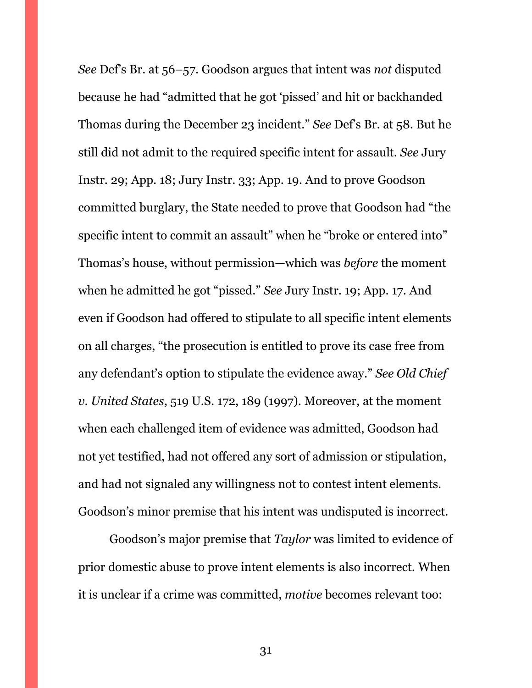*See* Def's Br. at 56–57. Goodson argues that intent was *not* disputed because he had "admitted that he got 'pissed' and hit or backhanded Thomas during the December 23 incident." *See* Def's Br. at 58. But he still did not admit to the required specific intent for assault. *See* Jury Instr. 29; App. 18; Jury Instr. 33; App. 19. And to prove Goodson committed burglary, the State needed to prove that Goodson had "the specific intent to commit an assault" when he "broke or entered into" Thomas's house, without permission—which was *before* the moment when he admitted he got "pissed." *See* Jury Instr. 19; App. 17. And even if Goodson had offered to stipulate to all specific intent elements on all charges, "the prosecution is entitled to prove its case free from any defendant's option to stipulate the evidence away." *See Old Chief v. United States*, 519 U.S. 172, 189 (1997). Moreover, at the moment when each challenged item of evidence was admitted, Goodson had not yet testified, had not offered any sort of admission or stipulation, and had not signaled any willingness not to contest intent elements. Goodson's minor premise that his intent was undisputed is incorrect.

Goodson's major premise that *Taylor* was limited to evidence of prior domestic abuse to prove intent elements is also incorrect. When it is unclear if a crime was committed, *motive* becomes relevant too: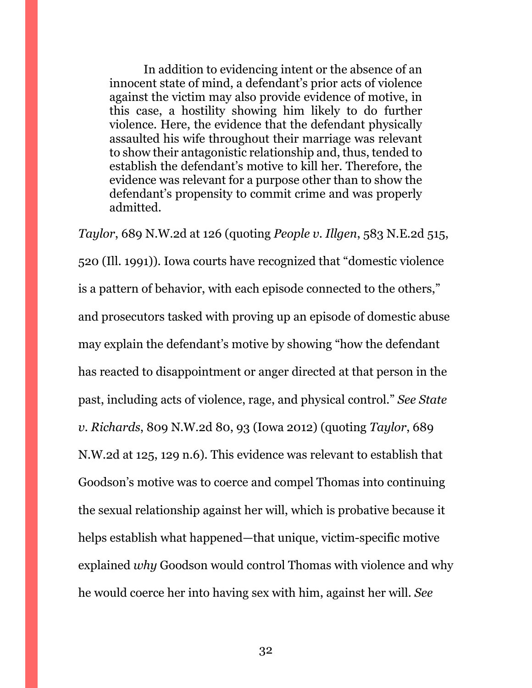In addition to evidencing intent or the absence of an innocent state of mind, a defendant's prior acts of violence against the victim may also provide evidence of motive, in this case, a hostility showing him likely to do further violence. Here, the evidence that the defendant physically assaulted his wife throughout their marriage was relevant to show their antagonistic relationship and, thus, tended to establish the defendant's motive to kill her. Therefore, the evidence was relevant for a purpose other than to show the defendant's propensity to commit crime and was properly admitted.

*Taylor*, 689 N.W.2d at 126 (quoting *People v. Illgen*, 583 N.E.2d 515, 520 (Ill. 1991)). Iowa courts have recognized that "domestic violence is a pattern of behavior, with each episode connected to the others," and prosecutors tasked with proving up an episode of domestic abuse may explain the defendant's motive by showing "how the defendant has reacted to disappointment or anger directed at that person in the past, including acts of violence, rage, and physical control." *See State v. Richards*, 809 N.W.2d 80, 93 (Iowa 2012) (quoting *Taylor*, 689 N.W.2d at 125, 129 n.6). This evidence was relevant to establish that Goodson's motive was to coerce and compel Thomas into continuing the sexual relationship against her will, which is probative because it helps establish what happened—that unique, victim-specific motive explained *why* Goodson would control Thomas with violence and why he would coerce her into having sex with him, against her will. *See*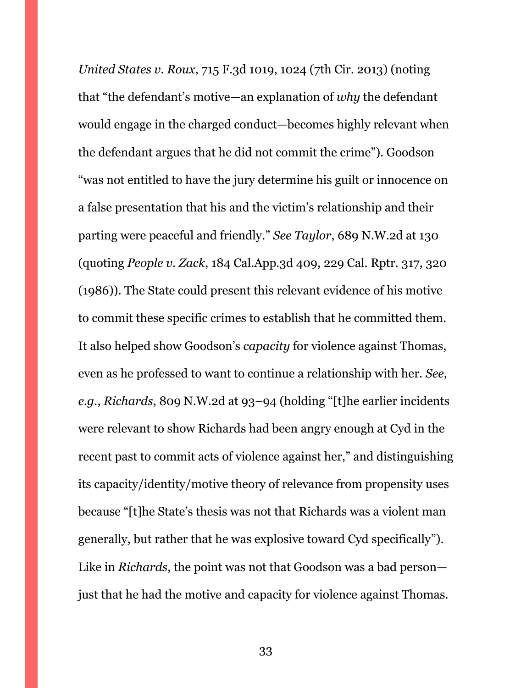*United States v. Roux*, 715 F.3d 1019, 1024 (7th Cir. 2013) (noting that "the defendant's motive—an explanation of *why* the defendant would engage in the charged conduct—becomes highly relevant when the defendant argues that he did not commit the crime"). Goodson "was not entitled to have the jury determine his guilt or innocence on a false presentation that his and the victim's relationship and their parting were peaceful and friendly." *See Taylor*, 689 N.W.2d at 130 (quoting *People v. Zack*, 184 Cal.App.3d 409, 229 Cal. Rptr. 317, 320 (1986)). The State could present this relevant evidence of his motive to commit these specific crimes to establish that he committed them. It also helped show Goodson's *capacity* for violence against Thomas, even as he professed to want to continue a relationship with her. *See, e.g.*, *Richards*, 809 N.W.2d at 93–94 (holding "[t]he earlier incidents were relevant to show Richards had been angry enough at Cyd in the recent past to commit acts of violence against her," and distinguishing its capacity/identity/motive theory of relevance from propensity uses because "[t]he State's thesis was not that Richards was a violent man generally, but rather that he was explosive toward Cyd specifically"). Like in *Richards*, the point was not that Goodson was a bad person just that he had the motive and capacity for violence against Thomas.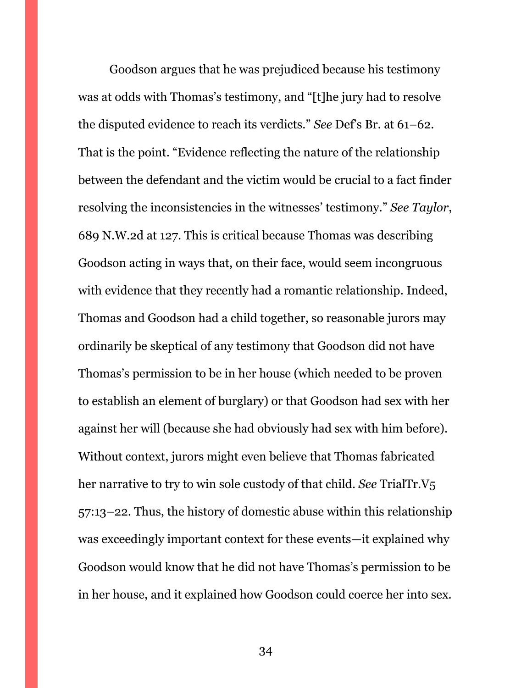Goodson argues that he was prejudiced because his testimony was at odds with Thomas's testimony, and "[t]he jury had to resolve the disputed evidence to reach its verdicts." *See* Def's Br. at 61–62. That is the point. "Evidence reflecting the nature of the relationship between the defendant and the victim would be crucial to a fact finder resolving the inconsistencies in the witnesses' testimony." *See Taylor*, 689 N.W.2d at 127. This is critical because Thomas was describing Goodson acting in ways that, on their face, would seem incongruous with evidence that they recently had a romantic relationship. Indeed, Thomas and Goodson had a child together, so reasonable jurors may ordinarily be skeptical of any testimony that Goodson did not have Thomas's permission to be in her house (which needed to be proven to establish an element of burglary) or that Goodson had sex with her against her will (because she had obviously had sex with him before). Without context, jurors might even believe that Thomas fabricated her narrative to try to win sole custody of that child. *See* TrialTr.V5 57:13–22. Thus, the history of domestic abuse within this relationship was exceedingly important context for these events—it explained why Goodson would know that he did not have Thomas's permission to be in her house, and it explained how Goodson could coerce her into sex.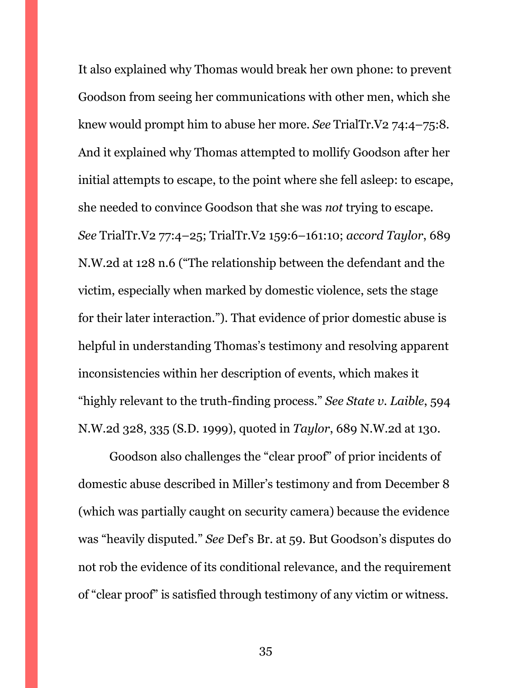It also explained why Thomas would break her own phone: to prevent Goodson from seeing her communications with other men, which she knew would prompt him to abuse her more. *See* TrialTr.V2 74:4–75:8. And it explained why Thomas attempted to mollify Goodson after her initial attempts to escape, to the point where she fell asleep: to escape, she needed to convince Goodson that she was *not* trying to escape. *See* TrialTr.V2 77:4–25; TrialTr.V2 159:6–161:10; *accord Taylor*, 689 N.W.2d at 128 n.6 ("The relationship between the defendant and the victim, especially when marked by domestic violence, sets the stage for their later interaction."). That evidence of prior domestic abuse is helpful in understanding Thomas's testimony and resolving apparent inconsistencies within her description of events, which makes it "highly relevant to the truth-finding process." *See State v. Laible*, 594 N.W.2d 328, 335 (S.D. 1999), quoted in *Taylor*, 689 N.W.2d at 130.

Goodson also challenges the "clear proof" of prior incidents of domestic abuse described in Miller's testimony and from December 8 (which was partially caught on security camera) because the evidence was "heavily disputed." *See* Def's Br. at 59. But Goodson's disputes do not rob the evidence of its conditional relevance, and the requirement of "clear proof" is satisfied through testimony of any victim or witness.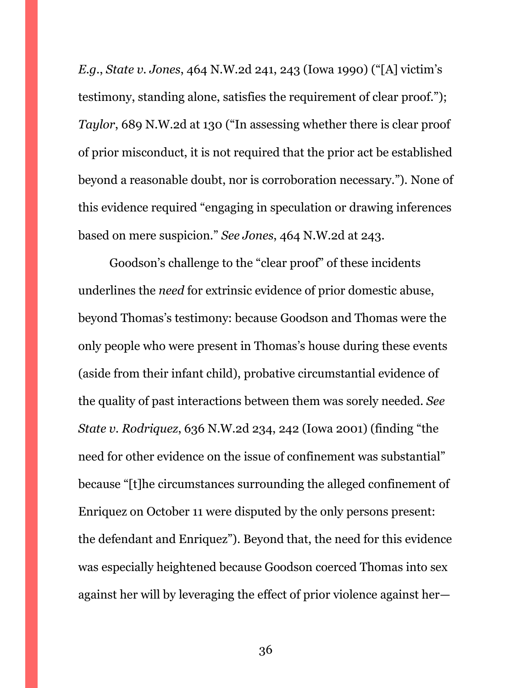*E.g.*, *State v. Jones*, 464 N.W.2d 241, 243 (Iowa 1990) ("[A] victim's testimony, standing alone, satisfies the requirement of clear proof."); *Taylor*, 689 N.W.2d at 130 ("In assessing whether there is clear proof of prior misconduct, it is not required that the prior act be established beyond a reasonable doubt, nor is corroboration necessary."). None of this evidence required "engaging in speculation or drawing inferences based on mere suspicion." *See Jones*, 464 N.W.2d at 243.

Goodson's challenge to the "clear proof" of these incidents underlines the *need* for extrinsic evidence of prior domestic abuse, beyond Thomas's testimony: because Goodson and Thomas were the only people who were present in Thomas's house during these events (aside from their infant child), probative circumstantial evidence of the quality of past interactions between them was sorely needed. *See State v. Rodriquez*, 636 N.W.2d 234, 242 (Iowa 2001) (finding "the need for other evidence on the issue of confinement was substantial" because "[t]he circumstances surrounding the alleged confinement of Enriquez on October 11 were disputed by the only persons present: the defendant and Enriquez"). Beyond that, the need for this evidence was especially heightened because Goodson coerced Thomas into sex against her will by leveraging the effect of prior violence against her—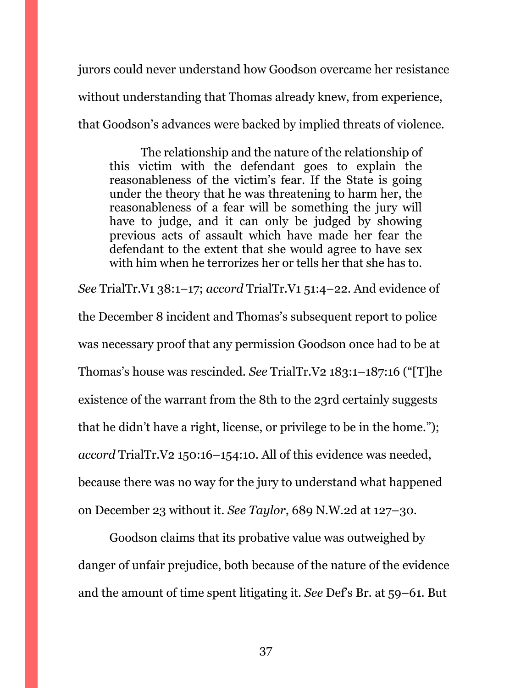jurors could never understand how Goodson overcame her resistance without understanding that Thomas already knew, from experience, that Goodson's advances were backed by implied threats of violence.

The relationship and the nature of the relationship of this victim with the defendant goes to explain the reasonableness of the victim's fear. If the State is going under the theory that he was threatening to harm her, the reasonableness of a fear will be something the jury will have to judge, and it can only be judged by showing previous acts of assault which have made her fear the defendant to the extent that she would agree to have sex with him when he terrorizes her or tells her that she has to.

*See* TrialTr.V1 38:1–17; *accord* TrialTr.V1 51:4–22. And evidence of the December 8 incident and Thomas's subsequent report to police was necessary proof that any permission Goodson once had to be at Thomas's house was rescinded. *See* TrialTr.V2 183:1–187:16 ("[T]he existence of the warrant from the 8th to the 23rd certainly suggests that he didn't have a right, license, or privilege to be in the home."); *accord* TrialTr.V2 150:16–154:10. All of this evidence was needed, because there was no way for the jury to understand what happened on December 23 without it. *See Taylor*, 689 N.W.2d at 127–30.

Goodson claims that its probative value was outweighed by danger of unfair prejudice, both because of the nature of the evidence and the amount of time spent litigating it. *See* Def's Br. at 59–61. But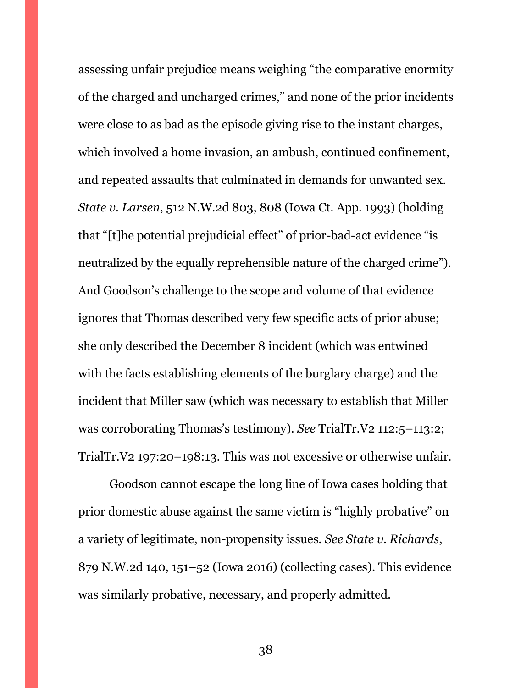assessing unfair prejudice means weighing "the comparative enormity of the charged and uncharged crimes," and none of the prior incidents were close to as bad as the episode giving rise to the instant charges, which involved a home invasion, an ambush, continued confinement, and repeated assaults that culminated in demands for unwanted sex. *State v. Larsen*, 512 N.W.2d 803, 808 (Iowa Ct. App. 1993) (holding that "[t]he potential prejudicial effect" of prior-bad-act evidence "is neutralized by the equally reprehensible nature of the charged crime"). And Goodson's challenge to the scope and volume of that evidence ignores that Thomas described very few specific acts of prior abuse; she only described the December 8 incident (which was entwined with the facts establishing elements of the burglary charge) and the incident that Miller saw (which was necessary to establish that Miller was corroborating Thomas's testimony). *See* TrialTr.V2 112:5–113:2; TrialTr.V2 197:20–198:13. This was not excessive or otherwise unfair.

Goodson cannot escape the long line of Iowa cases holding that prior domestic abuse against the same victim is "highly probative" on a variety of legitimate, non-propensity issues. *See State v. Richards*, 879 N.W.2d 140, 151–52 (Iowa 2016) (collecting cases). This evidence was similarly probative, necessary, and properly admitted.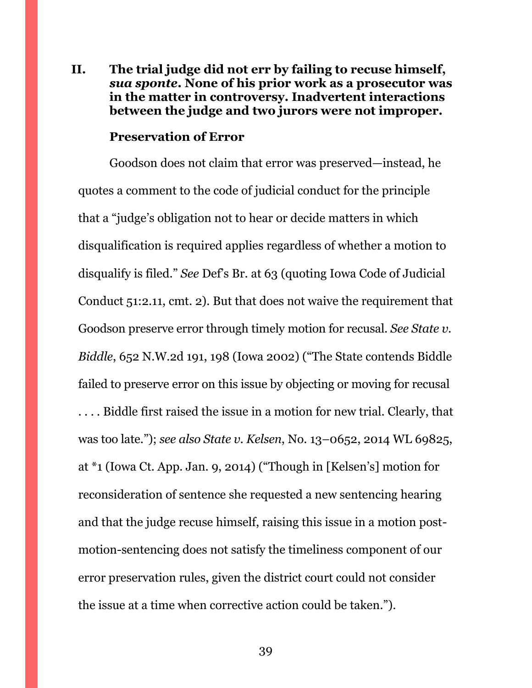## <span id="page-38-0"></span>**II. The trial judge did not err by failing to recuse himself,**  *sua sponte***. None of his prior work as a prosecutor was in the matter in controversy. Inadvertent interactions between the judge and two jurors were not improper.**

#### **Preservation of Error**

Goodson does not claim that error was preserved—instead, he quotes a comment to the code of judicial conduct for the principle that a "judge's obligation not to hear or decide matters in which disqualification is required applies regardless of whether a motion to disqualify is filed." *See* Def's Br. at 63 (quoting Iowa Code of Judicial Conduct 51:2.11, cmt. 2). But that does not waive the requirement that Goodson preserve error through timely motion for recusal. *See State v. Biddle*, 652 N.W.2d 191, 198 (Iowa 2002) ("The State contends Biddle failed to preserve error on this issue by objecting or moving for recusal . . . . Biddle first raised the issue in a motion for new trial. Clearly, that was too late."); *see also State v. Kelsen*, No. 13–0652, 2014 WL 69825, at \*1 (Iowa Ct. App. Jan. 9, 2014) ("Though in [Kelsen's] motion for reconsideration of sentence she requested a new sentencing hearing and that the judge recuse himself, raising this issue in a motion postmotion-sentencing does not satisfy the timeliness component of our error preservation rules, given the district court could not consider the issue at a time when corrective action could be taken.").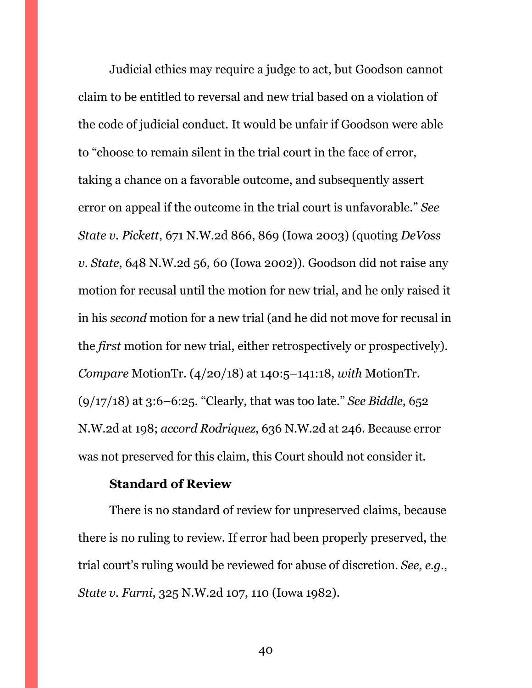Judicial ethics may require a judge to act, but Goodson cannot claim to be entitled to reversal and new trial based on a violation of the code of judicial conduct. It would be unfair if Goodson were able to "choose to remain silent in the trial court in the face of error, taking a chance on a favorable outcome, and subsequently assert error on appeal if the outcome in the trial court is unfavorable." *See State v. Pickett*, 671 N.W.2d 866, 869 (Iowa 2003) (quoting *DeVoss v. State*, 648 N.W.2d 56, 60 (Iowa 2002)). Goodson did not raise any motion for recusal until the motion for new trial, and he only raised it in his *second* motion for a new trial (and he did not move for recusal in the *first* motion for new trial, either retrospectively or prospectively). *Compare* MotionTr. (4/20/18) at 140:5–141:18, *with* MotionTr. (9/17/18) at 3:6–6:25. "Clearly, that was too late." *See Biddle*, 652 N.W.2d at 198; *accord Rodriquez*, 636 N.W.2d at 246. Because error was not preserved for this claim, this Court should not consider it.

## **Standard of Review**

There is no standard of review for unpreserved claims, because there is no ruling to review. If error had been properly preserved, the trial court's ruling would be reviewed for abuse of discretion. *See, e.g.*, *State v. Farni*, 325 N.W.2d 107, 110 (Iowa 1982).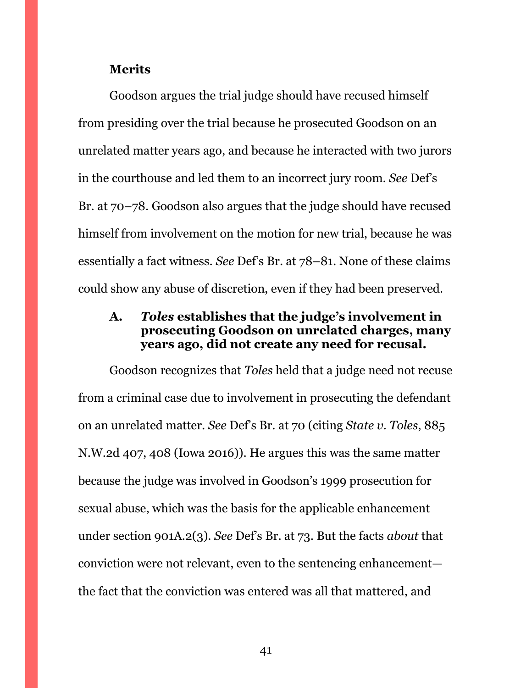#### **Merits**

Goodson argues the trial judge should have recused himself from presiding over the trial because he prosecuted Goodson on an unrelated matter years ago, and because he interacted with two jurors in the courthouse and led them to an incorrect jury room. *See* Def's Br. at 70–78. Goodson also argues that the judge should have recused himself from involvement on the motion for new trial, because he was essentially a fact witness. *See* Def's Br. at 78–81. None of these claims could show any abuse of discretion, even if they had been preserved.

## <span id="page-40-0"></span>**A.** *Toles* **establishes that the judge's involvement in prosecuting Goodson on unrelated charges, many years ago, did not create any need for recusal.**

Goodson recognizes that *Toles* held that a judge need not recuse from a criminal case due to involvement in prosecuting the defendant on an unrelated matter. *See* Def's Br. at 70 (citing *State v. Toles*, 885 N.W.2d 407, 408 (Iowa 2016)). He argues this was the same matter because the judge was involved in Goodson's 1999 prosecution for sexual abuse, which was the basis for the applicable enhancement under section 901A.2(3). *See* Def's Br. at 73. But the facts *about* that conviction were not relevant, even to the sentencing enhancement the fact that the conviction was entered was all that mattered, and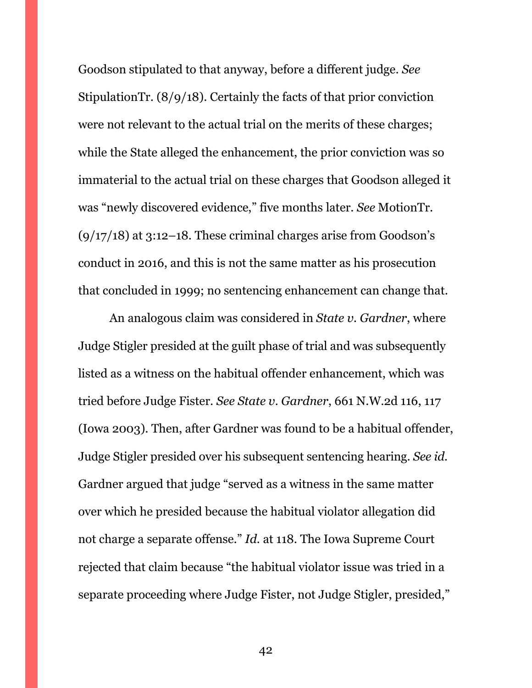Goodson stipulated to that anyway, before a different judge. *See*  StipulationTr. (8/9/18). Certainly the facts of that prior conviction were not relevant to the actual trial on the merits of these charges; while the State alleged the enhancement, the prior conviction was so immaterial to the actual trial on these charges that Goodson alleged it was "newly discovered evidence," five months later. *See* MotionTr.  $(9/17/18)$  at 3:12–18. These criminal charges arise from Goodson's conduct in 2016, and this is not the same matter as his prosecution that concluded in 1999; no sentencing enhancement can change that.

An analogous claim was considered in *State v. Gardner*, where Judge Stigler presided at the guilt phase of trial and was subsequently listed as a witness on the habitual offender enhancement, which was tried before Judge Fister. *See State v. Gardner*, 661 N.W.2d 116, 117 (Iowa 2003). Then, after Gardner was found to be a habitual offender, Judge Stigler presided over his subsequent sentencing hearing. *See id.* Gardner argued that judge "served as a witness in the same matter over which he presided because the habitual violator allegation did not charge a separate offense." *Id.* at 118. The Iowa Supreme Court rejected that claim because "the habitual violator issue was tried in a separate proceeding where Judge Fister, not Judge Stigler, presided,"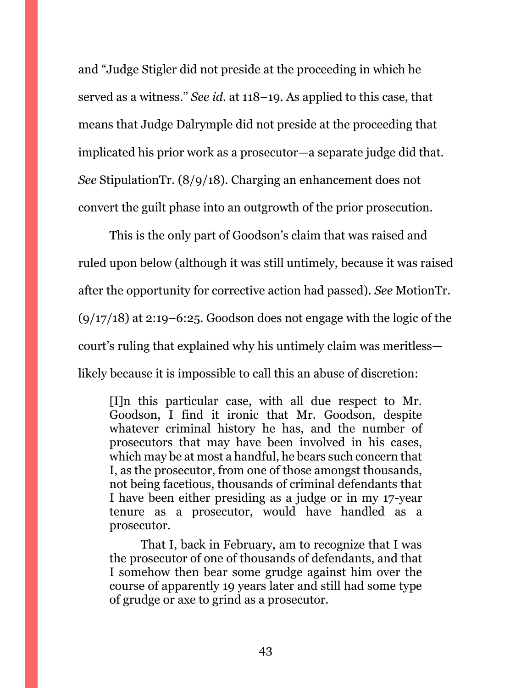and "Judge Stigler did not preside at the proceeding in which he served as a witness." *See id.* at 118–19. As applied to this case, that means that Judge Dalrymple did not preside at the proceeding that implicated his prior work as a prosecutor—a separate judge did that. *See* StipulationTr. (8/9/18). Charging an enhancement does not convert the guilt phase into an outgrowth of the prior prosecution.

This is the only part of Goodson's claim that was raised and ruled upon below (although it was still untimely, because it was raised after the opportunity for corrective action had passed). *See* MotionTr.  $(9/17/18)$  at 2:19–6:25. Goodson does not engage with the logic of the court's ruling that explained why his untimely claim was meritless likely because it is impossible to call this an abuse of discretion:

[I]n this particular case, with all due respect to Mr. Goodson, I find it ironic that Mr. Goodson, despite whatever criminal history he has, and the number of prosecutors that may have been involved in his cases, which may be at most a handful, he bears such concern that I, as the prosecutor, from one of those amongst thousands, not being facetious, thousands of criminal defendants that I have been either presiding as a judge or in my 17-year tenure as a prosecutor, would have handled as a prosecutor.

That I, back in February, am to recognize that I was the prosecutor of one of thousands of defendants, and that I somehow then bear some grudge against him over the course of apparently 19 years later and still had some type of grudge or axe to grind as a prosecutor.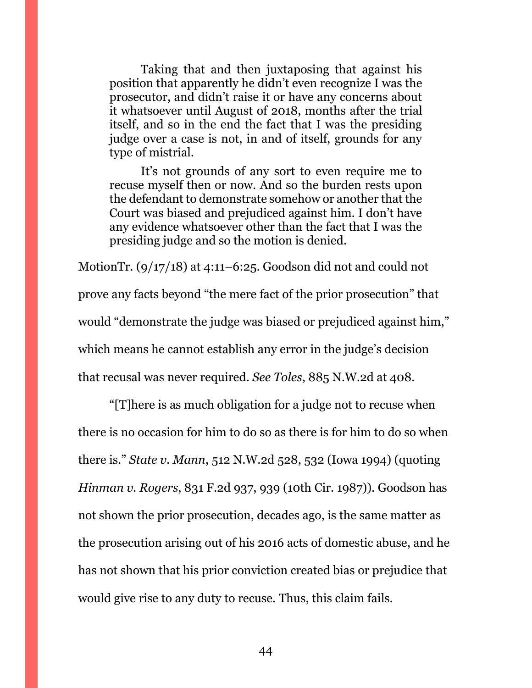Taking that and then juxtaposing that against his position that apparently he didn't even recognize I was the prosecutor, and didn't raise it or have any concerns about it whatsoever until August of 2018, months after the trial itself, and so in the end the fact that I was the presiding judge over a case is not, in and of itself, grounds for any type of mistrial.

It's not grounds of any sort to even require me to recuse myself then or now. And so the burden rests upon the defendant to demonstrate somehow or another that the Court was biased and prejudiced against him. I don't have any evidence whatsoever other than the fact that I was the presiding judge and so the motion is denied.

MotionTr. (9/17/18) at 4:11–6:25. Goodson did not and could not prove any facts beyond "the mere fact of the prior prosecution" that would "demonstrate the judge was biased or prejudiced against him," which means he cannot establish any error in the judge's decision that recusal was never required. *See Toles*, 885 N.W.2d at 408.

"[T]here is as much obligation for a judge not to recuse when there is no occasion for him to do so as there is for him to do so when there is." *State v. Mann*, 512 N.W.2d 528, 532 (Iowa 1994) (quoting *Hinman v. Rogers*, 831 F.2d 937, 939 (10th Cir. 1987)). Goodson has not shown the prior prosecution, decades ago, is the same matter as the prosecution arising out of his 2016 acts of domestic abuse, and he has not shown that his prior conviction created bias or prejudice that would give rise to any duty to recuse. Thus, this claim fails.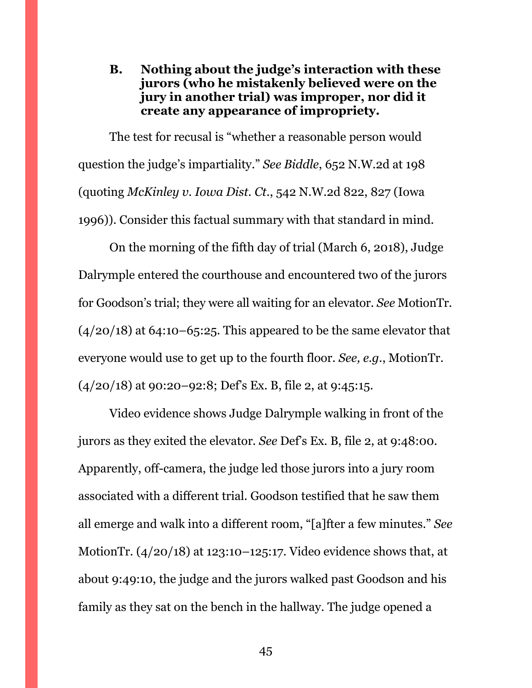<span id="page-44-0"></span>**B. Nothing about the judge's interaction with these jurors (who he mistakenly believed were on the jury in another trial) was improper, nor did it create any appearance of impropriety.**

The test for recusal is "whether a reasonable person would question the judge's impartiality." *See Biddle*, 652 N.W.2d at 198 (quoting *McKinley v. Iowa Dist. Ct*., 542 N.W.2d 822, 827 (Iowa 1996)). Consider this factual summary with that standard in mind.

On the morning of the fifth day of trial (March 6, 2018), Judge Dalrymple entered the courthouse and encountered two of the jurors for Goodson's trial; they were all waiting for an elevator. *See* MotionTr.  $(4/20/18)$  at 64:10–65:25. This appeared to be the same elevator that everyone would use to get up to the fourth floor. *See, e.g.*, MotionTr.  $(4/20/18)$  at 90:20–92:8; Def's Ex. B, file 2, at 9:45:15.

Video evidence shows Judge Dalrymple walking in front of the jurors as they exited the elevator. *See* Def's Ex. B, file 2, at 9:48:00. Apparently, off-camera, the judge led those jurors into a jury room associated with a different trial. Goodson testified that he saw them all emerge and walk into a different room, "[a]fter a few minutes." *See*  MotionTr. (4/20/18) at 123:10–125:17. Video evidence shows that, at about 9:49:10, the judge and the jurors walked past Goodson and his family as they sat on the bench in the hallway. The judge opened a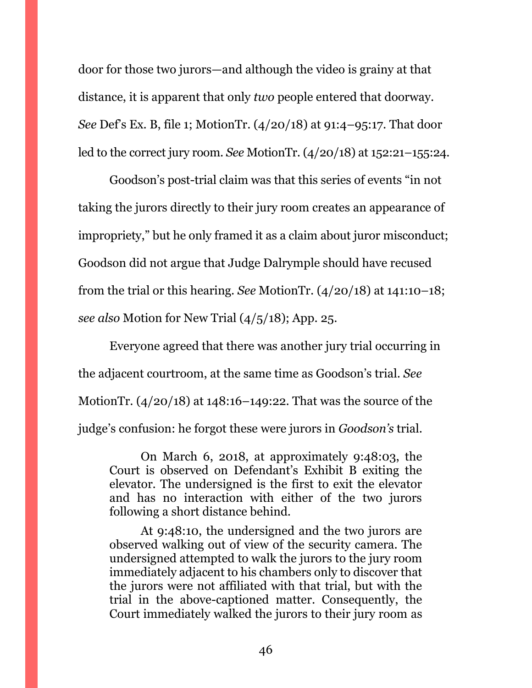door for those two jurors—and although the video is grainy at that distance, it is apparent that only *two* people entered that doorway. *See* Def's Ex. B, file 1; MotionTr. (4/20/18) at 91:4–95:17. That door led to the correct jury room. *See* MotionTr. (4/20/18) at 152:21–155:24.

Goodson's post-trial claim was that this series of events "in not taking the jurors directly to their jury room creates an appearance of impropriety," but he only framed it as a claim about juror misconduct; Goodson did not argue that Judge Dalrymple should have recused from the trial or this hearing. *See* MotionTr. (4/20/18) at 141:10–18; *see also* Motion for New Trial (4/5/18); App. 25.

Everyone agreed that there was another jury trial occurring in the adjacent courtroom, at the same time as Goodson's trial. *See*  MotionTr. (4/20/18) at 148:16–149:22. That was the source of the judge's confusion: he forgot these were jurors in *Goodson's* trial.

On March 6, 2018, at approximately 9:48:03, the Court is observed on Defendant's Exhibit B exiting the elevator. The undersigned is the first to exit the elevator and has no interaction with either of the two jurors following a short distance behind.

At 9:48:10, the undersigned and the two jurors are observed walking out of view of the security camera. The undersigned attempted to walk the jurors to the jury room immediately adjacent to his chambers only to discover that the jurors were not affiliated with that trial, but with the trial in the above-captioned matter. Consequently, the Court immediately walked the jurors to their jury room as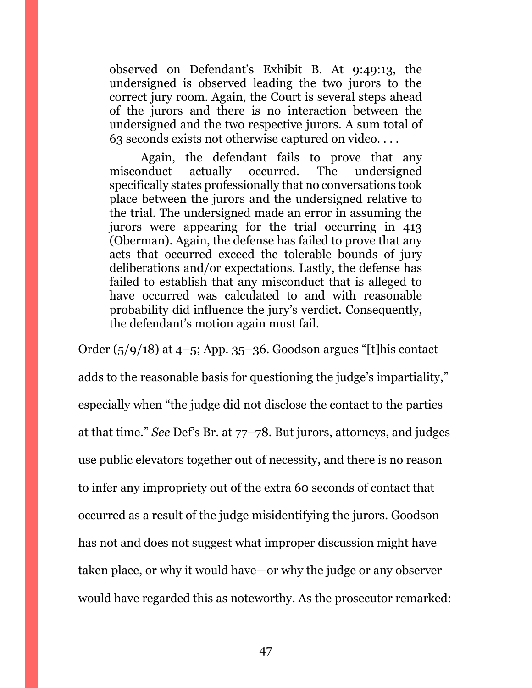observed on Defendant's Exhibit B. At 9:49:13, the undersigned is observed leading the two jurors to the correct jury room. Again, the Court is several steps ahead of the jurors and there is no interaction between the undersigned and the two respective jurors. A sum total of 63 seconds exists not otherwise captured on video. . . .

Again, the defendant fails to prove that any misconduct actually occurred. The undersigned specifically states professionally that no conversations took place between the jurors and the undersigned relative to the trial. The undersigned made an error in assuming the jurors were appearing for the trial occurring in 413 (Oberman). Again, the defense has failed to prove that any acts that occurred exceed the tolerable bounds of jury deliberations and/or expectations. Lastly, the defense has failed to establish that any misconduct that is alleged to have occurred was calculated to and with reasonable probability did influence the jury's verdict. Consequently, the defendant's motion again must fail.

Order  $(5/9/18)$  at  $4-5$ ; App. 35–36. Goodson argues "[t]his contact adds to the reasonable basis for questioning the judge's impartiality," especially when "the judge did not disclose the contact to the parties at that time." *See* Def's Br. at 77–78. But jurors, attorneys, and judges use public elevators together out of necessity, and there is no reason to infer any impropriety out of the extra 60 seconds of contact that occurred as a result of the judge misidentifying the jurors. Goodson has not and does not suggest what improper discussion might have taken place, or why it would have—or why the judge or any observer would have regarded this as noteworthy. As the prosecutor remarked: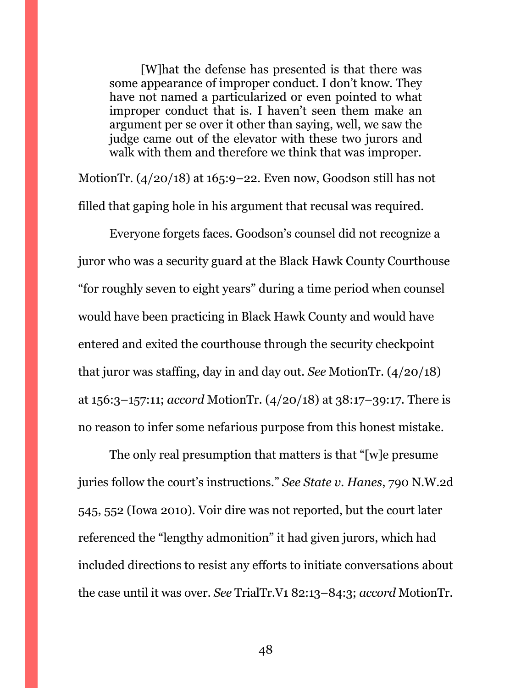[W]hat the defense has presented is that there was some appearance of improper conduct. I don't know. They have not named a particularized or even pointed to what improper conduct that is. I haven't seen them make an argument per se over it other than saying, well, we saw the judge came out of the elevator with these two jurors and walk with them and therefore we think that was improper.

MotionTr. (4/20/18) at 165:9–22. Even now, Goodson still has not filled that gaping hole in his argument that recusal was required.

Everyone forgets faces. Goodson's counsel did not recognize a juror who was a security guard at the Black Hawk County Courthouse "for roughly seven to eight years" during a time period when counsel would have been practicing in Black Hawk County and would have entered and exited the courthouse through the security checkpoint that juror was staffing, day in and day out. *See* MotionTr. (4/20/18) at 156:3–157:11; *accord* MotionTr. (4/20/18) at 38:17–39:17. There is no reason to infer some nefarious purpose from this honest mistake.

The only real presumption that matters is that "[w]e presume juries follow the court's instructions." *See State v. Hanes*, 790 N.W.2d 545, 552 (Iowa 2010). Voir dire was not reported, but the court later referenced the "lengthy admonition" it had given jurors, which had included directions to resist any efforts to initiate conversations about the case until it was over. *See* TrialTr.V1 82:13–84:3; *accord* MotionTr.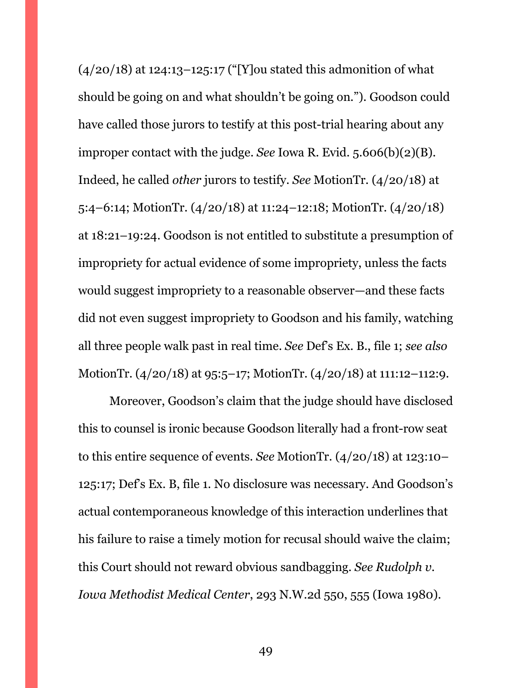$(4/20/18)$  at 124:13-125:17 ("[Y] ou stated this admonition of what should be going on and what shouldn't be going on."). Goodson could have called those jurors to testify at this post-trial hearing about any improper contact with the judge. *See* Iowa R. Evid. 5.606(b)(2)(B). Indeed, he called *other* jurors to testify. *See* MotionTr. (4/20/18) at 5:4–6:14; MotionTr. (4/20/18) at 11:24–12:18; MotionTr. (4/20/18) at 18:21–19:24. Goodson is not entitled to substitute a presumption of impropriety for actual evidence of some impropriety, unless the facts would suggest impropriety to a reasonable observer—and these facts did not even suggest impropriety to Goodson and his family, watching all three people walk past in real time. *See* Def's Ex. B., file 1; *see also*  MotionTr. (4/20/18) at 95:5–17; MotionTr. (4/20/18) at 111:12–112:9.

Moreover, Goodson's claim that the judge should have disclosed this to counsel is ironic because Goodson literally had a front-row seat to this entire sequence of events. *See* MotionTr. (4/20/18) at 123:10– 125:17; Def's Ex. B, file 1. No disclosure was necessary. And Goodson's actual contemporaneous knowledge of this interaction underlines that his failure to raise a timely motion for recusal should waive the claim; this Court should not reward obvious sandbagging. *See Rudolph v. Iowa Methodist Medical Center*, 293 N.W.2d 550, 555 (Iowa 1980).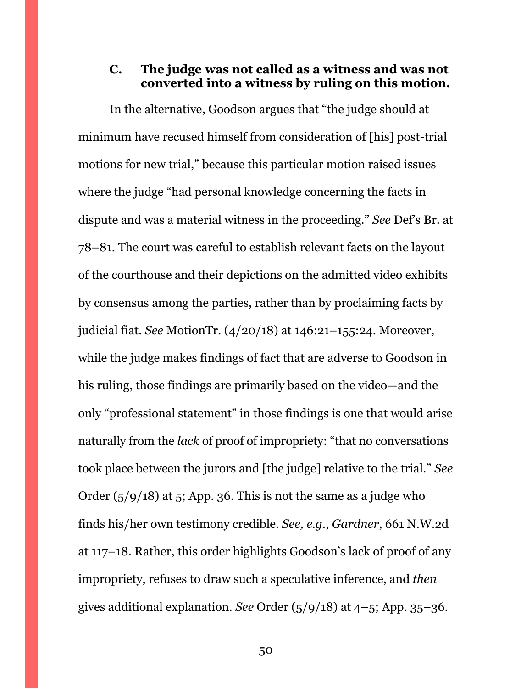## <span id="page-49-0"></span>**C. The judge was not called as a witness and was not converted into a witness by ruling on this motion.**

In the alternative, Goodson argues that "the judge should at minimum have recused himself from consideration of [his] post-trial motions for new trial," because this particular motion raised issues where the judge "had personal knowledge concerning the facts in dispute and was a material witness in the proceeding." *See* Def's Br. at 78–81. The court was careful to establish relevant facts on the layout of the courthouse and their depictions on the admitted video exhibits by consensus among the parties, rather than by proclaiming facts by judicial fiat. *See* MotionTr. (4/20/18) at 146:21–155:24. Moreover, while the judge makes findings of fact that are adverse to Goodson in his ruling, those findings are primarily based on the video—and the only "professional statement" in those findings is one that would arise naturally from the *lack* of proof of impropriety: "that no conversations took place between the jurors and [the judge] relative to the trial." *See*  Order  $(5/9/18)$  at 5; App. 36. This is not the same as a judge who finds his/her own testimony credible. *See, e.g.*, *Gardner*, 661 N.W.2d at 117–18. Rather, this order highlights Goodson's lack of proof of any impropriety, refuses to draw such a speculative inference, and *then*  gives additional explanation. *See* Order (5/9/18) at 4–5; App. 35–36.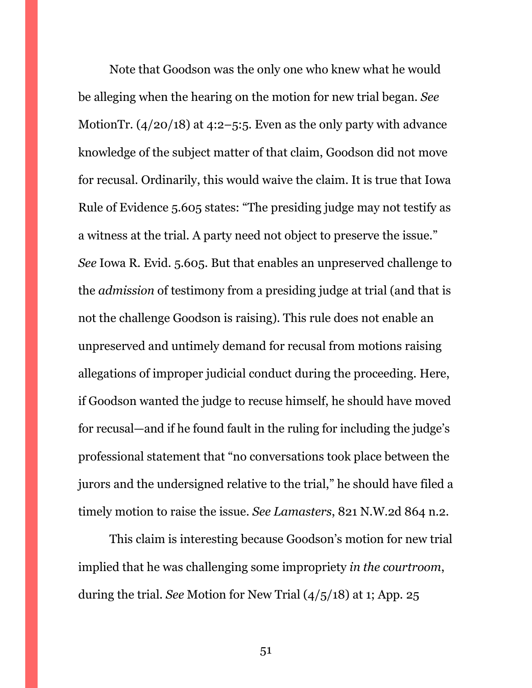Note that Goodson was the only one who knew what he would be alleging when the hearing on the motion for new trial began. *See*  MotionTr.  $(4/20/18)$  at 4:2–5:5. Even as the only party with advance knowledge of the subject matter of that claim, Goodson did not move for recusal. Ordinarily, this would waive the claim. It is true that Iowa Rule of Evidence 5.605 states: "The presiding judge may not testify as a witness at the trial. A party need not object to preserve the issue." *See* Iowa R. Evid. 5.605. But that enables an unpreserved challenge to the *admission* of testimony from a presiding judge at trial (and that is not the challenge Goodson is raising). This rule does not enable an unpreserved and untimely demand for recusal from motions raising allegations of improper judicial conduct during the proceeding. Here, if Goodson wanted the judge to recuse himself, he should have moved for recusal—and if he found fault in the ruling for including the judge's professional statement that "no conversations took place between the jurors and the undersigned relative to the trial," he should have filed a timely motion to raise the issue. *See Lamasters*, 821 N.W.2d 864 n.2.

This claim is interesting because Goodson's motion for new trial implied that he was challenging some impropriety *in the courtroom*, during the trial. *See* Motion for New Trial (4/5/18) at 1; App. 25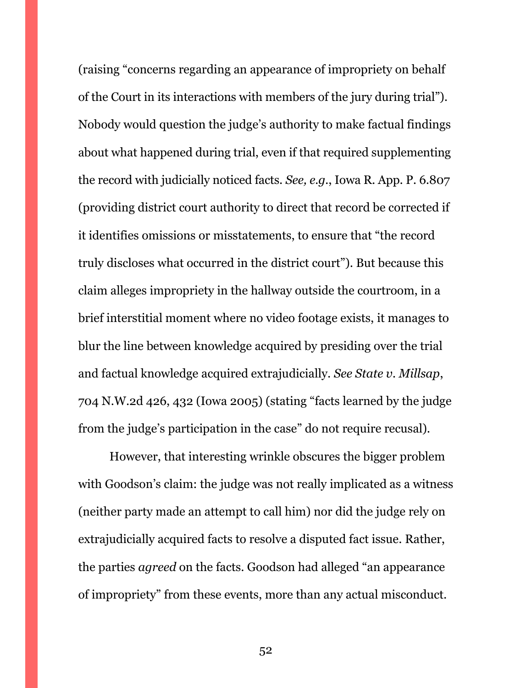(raising "concerns regarding an appearance of impropriety on behalf of the Court in its interactions with members of the jury during trial"). Nobody would question the judge's authority to make factual findings about what happened during trial, even if that required supplementing the record with judicially noticed facts. *See, e.g.*, Iowa R. App. P. 6.807 (providing district court authority to direct that record be corrected if it identifies omissions or misstatements, to ensure that "the record truly discloses what occurred in the district court"). But because this claim alleges impropriety in the hallway outside the courtroom, in a brief interstitial moment where no video footage exists, it manages to blur the line between knowledge acquired by presiding over the trial and factual knowledge acquired extrajudicially. *See State v. Millsap*, 704 N.W.2d 426, 432 (Iowa 2005) (stating "facts learned by the judge from the judge's participation in the case" do not require recusal).

However, that interesting wrinkle obscures the bigger problem with Goodson's claim: the judge was not really implicated as a witness (neither party made an attempt to call him) nor did the judge rely on extrajudicially acquired facts to resolve a disputed fact issue. Rather, the parties *agreed* on the facts. Goodson had alleged "an appearance of impropriety" from these events, more than any actual misconduct.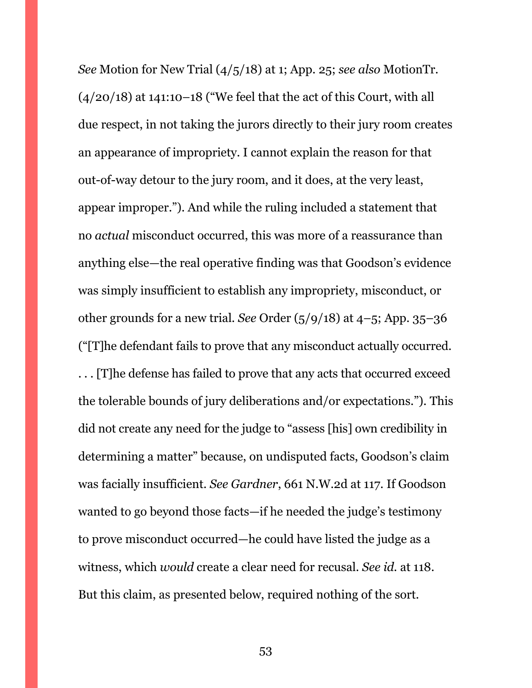*See* Motion for New Trial (4/5/18) at 1; App. 25; *see also* MotionTr.  $(4/20/18)$  at 141:10–18 ("We feel that the act of this Court, with all due respect, in not taking the jurors directly to their jury room creates an appearance of impropriety. I cannot explain the reason for that out-of-way detour to the jury room, and it does, at the very least, appear improper."). And while the ruling included a statement that no *actual* misconduct occurred, this was more of a reassurance than anything else—the real operative finding was that Goodson's evidence was simply insufficient to establish any impropriety, misconduct, or other grounds for a new trial. *See* Order (5/9/18) at 4–5; App. 35–36 ("[T]he defendant fails to prove that any misconduct actually occurred. . . . [T]he defense has failed to prove that any acts that occurred exceed the tolerable bounds of jury deliberations and/or expectations."). This did not create any need for the judge to "assess [his] own credibility in determining a matter" because, on undisputed facts, Goodson's claim was facially insufficient. *See Gardner*, 661 N.W.2d at 117. If Goodson wanted to go beyond those facts—if he needed the judge's testimony to prove misconduct occurred—he could have listed the judge as a witness, which *would* create a clear need for recusal. *See id.* at 118. But this claim, as presented below, required nothing of the sort.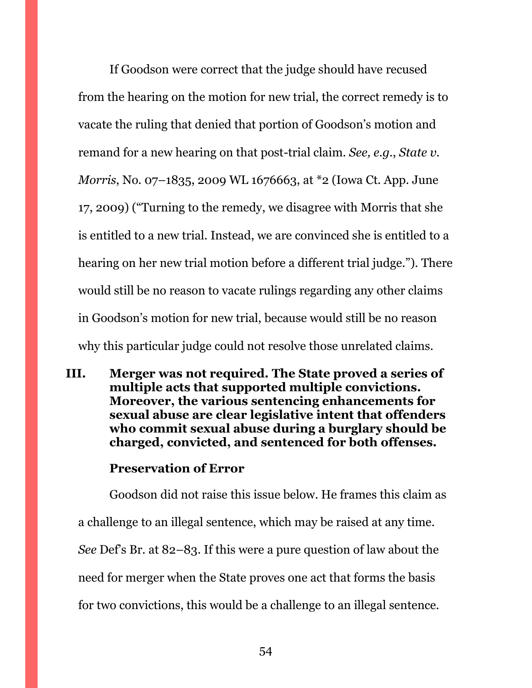If Goodson were correct that the judge should have recused from the hearing on the motion for new trial, the correct remedy is to vacate the ruling that denied that portion of Goodson's motion and remand for a new hearing on that post-trial claim. *See, e.g.*, *State v. Morris*, No. 07–1835, 2009 WL 1676663, at \*2 (Iowa Ct. App. June 17, 2009) ("Turning to the remedy, we disagree with Morris that she is entitled to a new trial. Instead, we are convinced she is entitled to a hearing on her new trial motion before a different trial judge."). There would still be no reason to vacate rulings regarding any other claims in Goodson's motion for new trial, because would still be no reason why this particular judge could not resolve those unrelated claims.

<span id="page-53-0"></span>**III. Merger was not required. The State proved a series of multiple acts that supported multiple convictions. Moreover, the various sentencing enhancements for sexual abuse are clear legislative intent that offenders who commit sexual abuse during a burglary should be charged, convicted, and sentenced for both offenses.** 

## **Preservation of Error**

Goodson did not raise this issue below. He frames this claim as a challenge to an illegal sentence, which may be raised at any time. *See* Def's Br. at 82–83. If this were a pure question of law about the need for merger when the State proves one act that forms the basis for two convictions, this would be a challenge to an illegal sentence.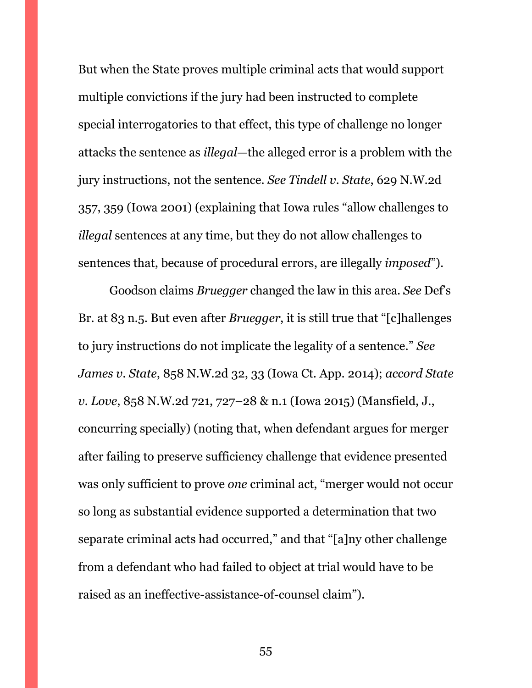But when the State proves multiple criminal acts that would support multiple convictions if the jury had been instructed to complete special interrogatories to that effect, this type of challenge no longer attacks the sentence as *illegal*—the alleged error is a problem with the jury instructions, not the sentence. *See Tindell v. State*, 629 N.W.2d 357, 359 (Iowa 2001) (explaining that Iowa rules "allow challenges to *illegal* sentences at any time, but they do not allow challenges to sentences that, because of procedural errors, are illegally *imposed*").

Goodson claims *Bruegger* changed the law in this area. *See* Def's Br. at 83 n.5. But even after *Bruegger*, it is still true that "[c]hallenges to jury instructions do not implicate the legality of a sentence." *See James v. State*, 858 N.W.2d 32, 33 (Iowa Ct. App. 2014); *accord State v. Love*, 858 N.W.2d 721, 727–28 & n.1 (Iowa 2015) (Mansfield, J., concurring specially) (noting that, when defendant argues for merger after failing to preserve sufficiency challenge that evidence presented was only sufficient to prove *one* criminal act, "merger would not occur so long as substantial evidence supported a determination that two separate criminal acts had occurred," and that "[a]ny other challenge from a defendant who had failed to object at trial would have to be raised as an ineffective-assistance-of-counsel claim").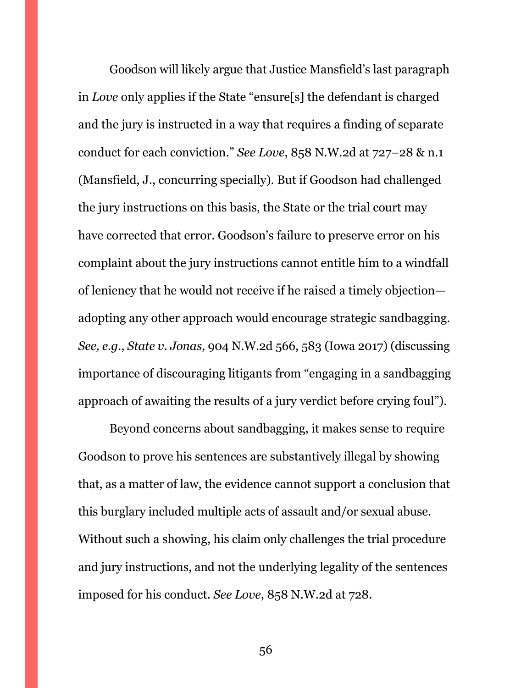Goodson will likely argue that Justice Mansfield's last paragraph in *Love* only applies if the State "ensure[s] the defendant is charged and the jury is instructed in a way that requires a finding of separate conduct for each conviction." *See Love*, 858 N.W.2d at 727–28 & n.1 (Mansfield, J., concurring specially). But if Goodson had challenged the jury instructions on this basis, the State or the trial court may have corrected that error. Goodson's failure to preserve error on his complaint about the jury instructions cannot entitle him to a windfall of leniency that he would not receive if he raised a timely objection adopting any other approach would encourage strategic sandbagging. *See, e.g.*, *State v. Jonas*, 904 N.W.2d 566, 583 (Iowa 2017) (discussing importance of discouraging litigants from "engaging in a sandbagging approach of awaiting the results of a jury verdict before crying foul").

Beyond concerns about sandbagging, it makes sense to require Goodson to prove his sentences are substantively illegal by showing that, as a matter of law, the evidence cannot support a conclusion that this burglary included multiple acts of assault and/or sexual abuse. Without such a showing, his claim only challenges the trial procedure and jury instructions, and not the underlying legality of the sentences imposed for his conduct. *See Love*, 858 N.W.2d at 728.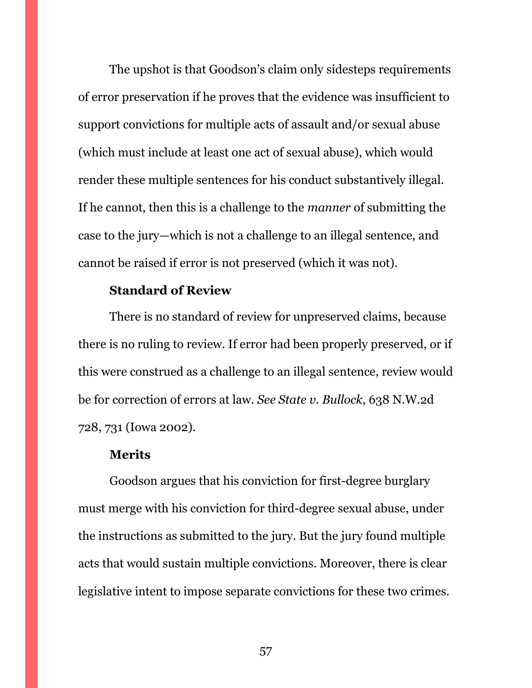The upshot is that Goodson's claim only sidesteps requirements of error preservation if he proves that the evidence was insufficient to support convictions for multiple acts of assault and/or sexual abuse (which must include at least one act of sexual abuse), which would render these multiple sentences for his conduct substantively illegal. If he cannot, then this is a challenge to the *manner* of submitting the case to the jury—which is not a challenge to an illegal sentence, and cannot be raised if error is not preserved (which it was not).

## **Standard of Review**

There is no standard of review for unpreserved claims, because there is no ruling to review. If error had been properly preserved, or if this were construed as a challenge to an illegal sentence, review would be for correction of errors at law. *See State v. Bullock*, 638 N.W.2d 728, 731 (Iowa 2002).

#### **Merits**

Goodson argues that his conviction for first-degree burglary must merge with his conviction for third-degree sexual abuse, under the instructions as submitted to the jury. But the jury found multiple acts that would sustain multiple convictions. Moreover, there is clear legislative intent to impose separate convictions for these two crimes.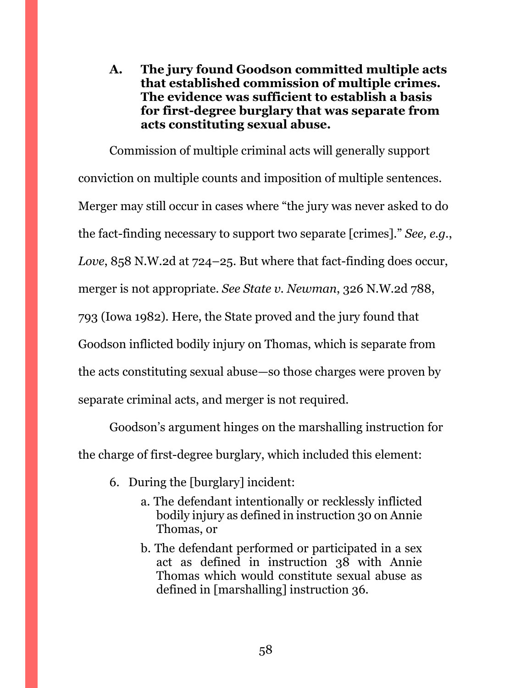<span id="page-57-0"></span>**A. The jury found Goodson committed multiple acts that established commission of multiple crimes. The evidence was sufficient to establish a basis for first-degree burglary that was separate from acts constituting sexual abuse.**

Commission of multiple criminal acts will generally support conviction on multiple counts and imposition of multiple sentences. Merger may still occur in cases where "the jury was never asked to do the fact-finding necessary to support two separate [crimes]." *See, e.g.*, *Love*, 858 N.W.2d at 724–25. But where that fact-finding does occur, merger is not appropriate. *See State v. Newman*, 326 N.W.2d 788, 793 (Iowa 1982). Here, the State proved and the jury found that Goodson inflicted bodily injury on Thomas, which is separate from the acts constituting sexual abuse—so those charges were proven by separate criminal acts, and merger is not required.

Goodson's argument hinges on the marshalling instruction for the charge of first-degree burglary, which included this element:

- 6. During the [burglary] incident:
	- a. The defendant intentionally or recklessly inflicted bodily injury as defined in instruction 30 on Annie Thomas, or
	- b. The defendant performed or participated in a sex act as defined in instruction 38 with Annie Thomas which would constitute sexual abuse as defined in [marshalling] instruction 36.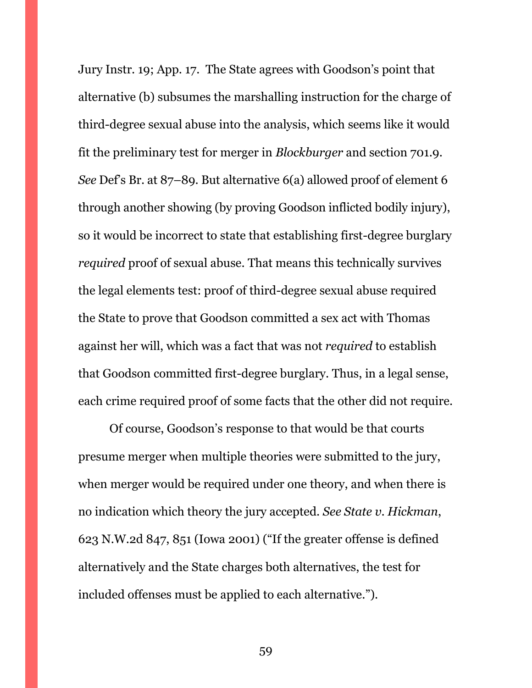Jury Instr. 19; App. 17. The State agrees with Goodson's point that alternative (b) subsumes the marshalling instruction for the charge of third-degree sexual abuse into the analysis, which seems like it would fit the preliminary test for merger in *Blockburger* and section 701.9. *See* Def's Br. at 87–89. But alternative 6(a) allowed proof of element 6 through another showing (by proving Goodson inflicted bodily injury), so it would be incorrect to state that establishing first-degree burglary *required* proof of sexual abuse. That means this technically survives the legal elements test: proof of third-degree sexual abuse required the State to prove that Goodson committed a sex act with Thomas against her will, which was a fact that was not *required* to establish that Goodson committed first-degree burglary. Thus, in a legal sense, each crime required proof of some facts that the other did not require.

Of course, Goodson's response to that would be that courts presume merger when multiple theories were submitted to the jury, when merger would be required under one theory, and when there is no indication which theory the jury accepted. *See State v. Hickman*, 623 N.W.2d 847, 851 (Iowa 2001) ("If the greater offense is defined alternatively and the State charges both alternatives, the test for included offenses must be applied to each alternative.").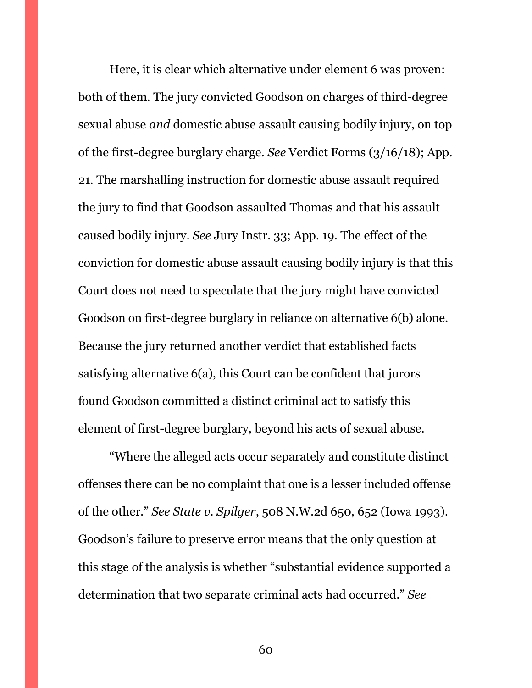Here, it is clear which alternative under element 6 was proven: both of them. The jury convicted Goodson on charges of third-degree sexual abuse *and* domestic abuse assault causing bodily injury, on top of the first-degree burglary charge. *See* Verdict Forms (3/16/18); App. 21. The marshalling instruction for domestic abuse assault required the jury to find that Goodson assaulted Thomas and that his assault caused bodily injury. *See* Jury Instr. 33; App. 19. The effect of the conviction for domestic abuse assault causing bodily injury is that this Court does not need to speculate that the jury might have convicted Goodson on first-degree burglary in reliance on alternative 6(b) alone. Because the jury returned another verdict that established facts satisfying alternative 6(a), this Court can be confident that jurors found Goodson committed a distinct criminal act to satisfy this element of first-degree burglary, beyond his acts of sexual abuse.

"Where the alleged acts occur separately and constitute distinct offenses there can be no complaint that one is a lesser included offense of the other." *See State v. Spilger*, 508 N.W.2d 650, 652 (Iowa 1993). Goodson's failure to preserve error means that the only question at this stage of the analysis is whether "substantial evidence supported a determination that two separate criminal acts had occurred." *See*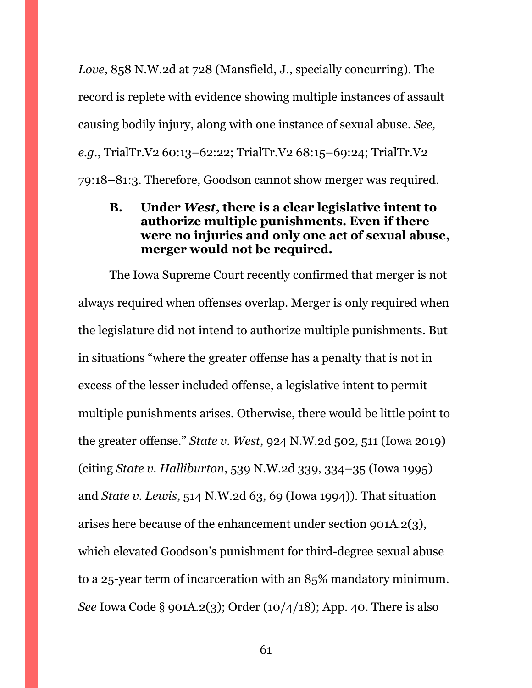*Love*, 858 N.W.2d at 728 (Mansfield, J., specially concurring). The record is replete with evidence showing multiple instances of assault causing bodily injury, along with one instance of sexual abuse. *See, e.g.*, TrialTr.V2 60:13–62:22; TrialTr.V2 68:15–69:24; TrialTr.V2 79:18–81:3. Therefore, Goodson cannot show merger was required.

## <span id="page-60-0"></span>**B. Under** *West***, there is a clear legislative intent to authorize multiple punishments. Even if there were no injuries and only one act of sexual abuse, merger would not be required.**

The Iowa Supreme Court recently confirmed that merger is not always required when offenses overlap. Merger is only required when the legislature did not intend to authorize multiple punishments. But in situations "where the greater offense has a penalty that is not in excess of the lesser included offense, a legislative intent to permit multiple punishments arises. Otherwise, there would be little point to the greater offense." *State v. West*, 924 N.W.2d 502, 511 (Iowa 2019) (citing *State v. Halliburton*, 539 N.W.2d 339, 334–35 (Iowa 1995) and *State v. Lewis*, 514 N.W.2d 63, 69 (Iowa 1994)). That situation arises here because of the enhancement under section 901A.2(3), which elevated Goodson's punishment for third-degree sexual abuse to a 25-year term of incarceration with an 85% mandatory minimum. *See* Iowa Code § 901A.2(3); Order (10/4/18); App. 40. There is also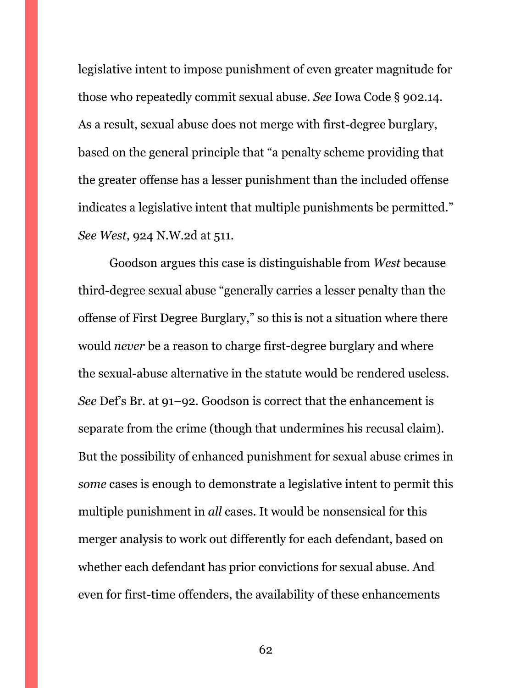legislative intent to impose punishment of even greater magnitude for those who repeatedly commit sexual abuse. *See* Iowa Code § 902.14. As a result, sexual abuse does not merge with first-degree burglary, based on the general principle that "a penalty scheme providing that the greater offense has a lesser punishment than the included offense indicates a legislative intent that multiple punishments be permitted." *See West*, 924 N.W.2d at 511.

Goodson argues this case is distinguishable from *West* because third-degree sexual abuse "generally carries a lesser penalty than the offense of First Degree Burglary," so this is not a situation where there would *never* be a reason to charge first-degree burglary and where the sexual-abuse alternative in the statute would be rendered useless. *See* Def's Br. at 91–92. Goodson is correct that the enhancement is separate from the crime (though that undermines his recusal claim). But the possibility of enhanced punishment for sexual abuse crimes in *some* cases is enough to demonstrate a legislative intent to permit this multiple punishment in *all* cases. It would be nonsensical for this merger analysis to work out differently for each defendant, based on whether each defendant has prior convictions for sexual abuse. And even for first-time offenders, the availability of these enhancements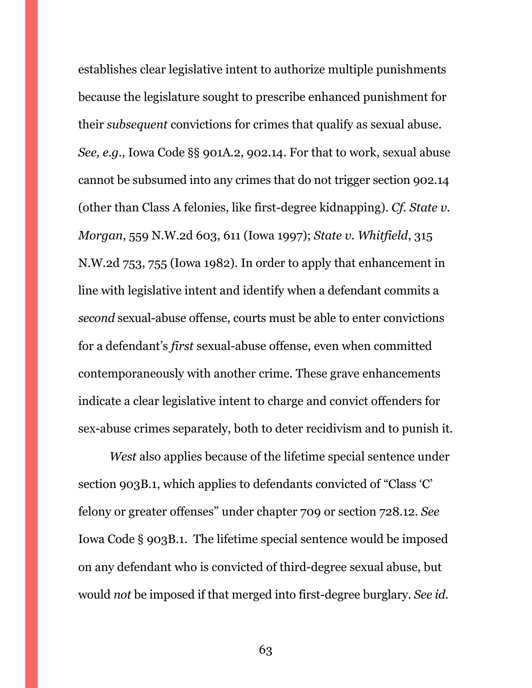establishes clear legislative intent to authorize multiple punishments because the legislature sought to prescribe enhanced punishment for their *subsequent* convictions for crimes that qualify as sexual abuse. *See, e.g.*, Iowa Code §§ 901A.2, 902.14. For that to work, sexual abuse cannot be subsumed into any crimes that do not trigger section 902.14 (other than Class A felonies, like first-degree kidnapping). *Cf. State v. Morgan*, 559 N.W.2d 603, 611 (Iowa 1997); *State v. Whitfield*, 315 N.W.2d 753, 755 (Iowa 1982). In order to apply that enhancement in line with legislative intent and identify when a defendant commits a *second* sexual-abuse offense, courts must be able to enter convictions for a defendant's *first* sexual-abuse offense, even when committed contemporaneously with another crime. These grave enhancements indicate a clear legislative intent to charge and convict offenders for sex-abuse crimes separately, both to deter recidivism and to punish it.

*West* also applies because of the lifetime special sentence under section 903B.1, which applies to defendants convicted of "Class 'C' felony or greater offenses" under chapter 709 or section 728.12. *See*  Iowa Code § 903B.1. The lifetime special sentence would be imposed on any defendant who is convicted of third-degree sexual abuse, but would *not* be imposed if that merged into first-degree burglary. *See id.*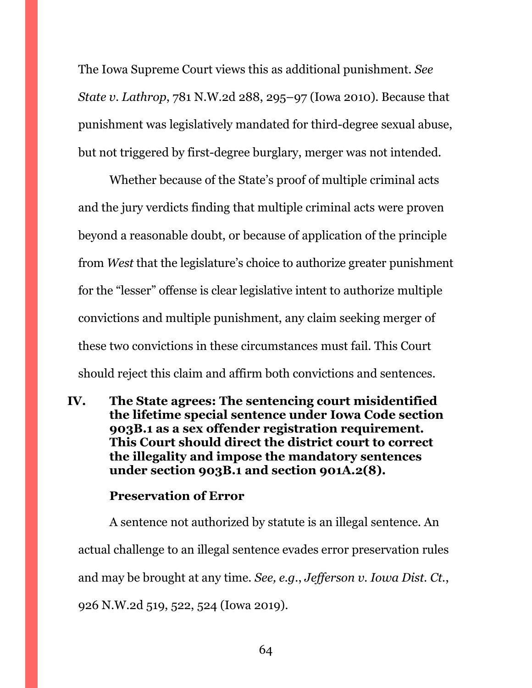The Iowa Supreme Court views this as additional punishment. *See State v. Lathrop*, 781 N.W.2d 288, 295–97 (Iowa 2010). Because that punishment was legislatively mandated for third-degree sexual abuse, but not triggered by first-degree burglary, merger was not intended.

Whether because of the State's proof of multiple criminal acts and the jury verdicts finding that multiple criminal acts were proven beyond a reasonable doubt, or because of application of the principle from *West* that the legislature's choice to authorize greater punishment for the "lesser" offense is clear legislative intent to authorize multiple convictions and multiple punishment, any claim seeking merger of these two convictions in these circumstances must fail. This Court should reject this claim and affirm both convictions and sentences.

<span id="page-63-0"></span>**IV. The State agrees: The sentencing court misidentified the lifetime special sentence under Iowa Code section 903B.1 as a sex offender registration requirement. This Court should direct the district court to correct the illegality and impose the mandatory sentences under section 903B.1 and section 901A.2(8).**

## **Preservation of Error**

A sentence not authorized by statute is an illegal sentence. An actual challenge to an illegal sentence evades error preservation rules and may be brought at any time. *See, e.g.*, *Jefferson v. Iowa Dist. Ct.*, 926 N.W.2d 519, 522, 524 (Iowa 2019).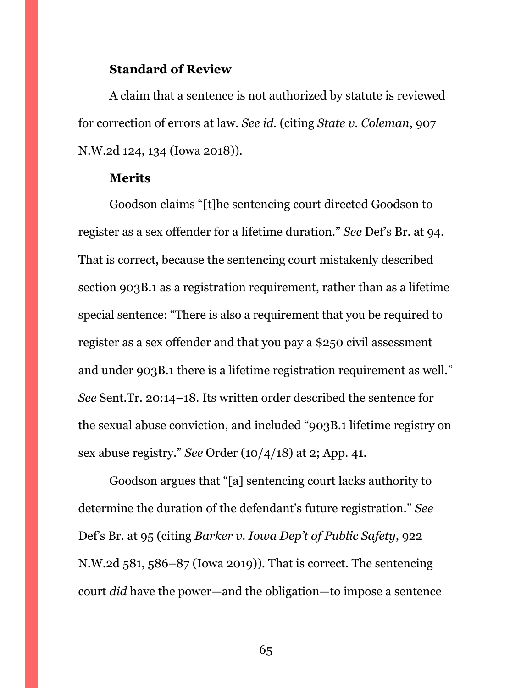#### **Standard of Review**

A claim that a sentence is not authorized by statute is reviewed for correction of errors at law. *See id.* (citing *State v. Coleman*, 907 N.W.2d 124, 134 (Iowa 2018)).

#### **Merits**

Goodson claims "[t]he sentencing court directed Goodson to register as a sex offender for a lifetime duration." *See* Def's Br. at 94. That is correct, because the sentencing court mistakenly described section 903B.1 as a registration requirement, rather than as a lifetime special sentence: "There is also a requirement that you be required to register as a sex offender and that you pay a \$250 civil assessment and under 903B.1 there is a lifetime registration requirement as well." *See* Sent.Tr. 20:14–18. Its written order described the sentence for the sexual abuse conviction, and included "903B.1 lifetime registry on sex abuse registry." *See* Order (10/4/18) at 2; App. 41.

Goodson argues that "[a] sentencing court lacks authority to determine the duration of the defendant's future registration." *See*  Def's Br. at 95 (citing *Barker v. Iowa Dep't of Public Safety*, 922 N.W.2d 581, 586–87 (Iowa 2019)). That is correct. The sentencing court *did* have the power—and the obligation—to impose a sentence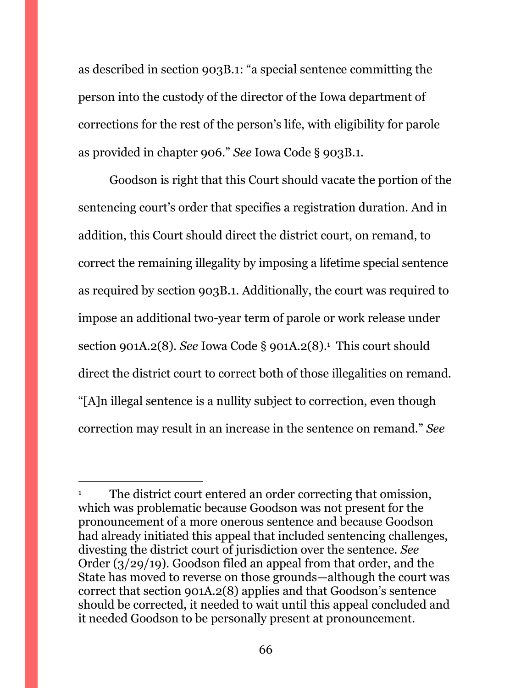as described in section 903B.1: "a special sentence committing the person into the custody of the director of the Iowa department of corrections for the rest of the person's life, with eligibility for parole as provided in chapter 906." *See* Iowa Code § 903B.1.

Goodson is right that this Court should vacate the portion of the sentencing court's order that specifies a registration duration. And in addition, this Court should direct the district court, on remand, to correct the remaining illegality by imposing a lifetime special sentence as required by section 903B.1. Additionally, the court was required to impose an additional two-year term of parole or work release under section 901A.2(8). *See* Iowa Code § 901A.2(8).<sup>1</sup> This court should direct the district court to correct both of those illegalities on remand. "[A]n illegal sentence is a nullity subject to correction, even though correction may result in an increase in the sentence on remand." *See* 

 $\overline{a}$ 

The district court entered an order correcting that omission, which was problematic because Goodson was not present for the pronouncement of a more onerous sentence and because Goodson had already initiated this appeal that included sentencing challenges, divesting the district court of jurisdiction over the sentence. *See*  Order (3/29/19). Goodson filed an appeal from that order, and the State has moved to reverse on those grounds—although the court was correct that section 901A.2(8) applies and that Goodson's sentence should be corrected, it needed to wait until this appeal concluded and it needed Goodson to be personally present at pronouncement.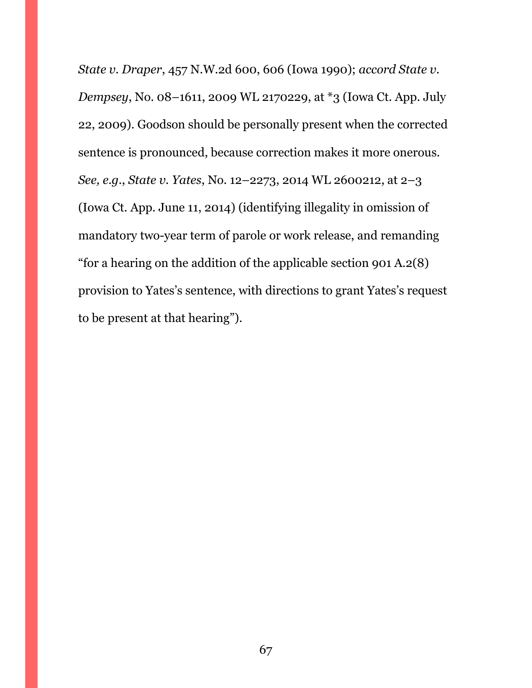*State v. Draper*, 457 N.W.2d 600, 606 (Iowa 1990); *accord State v. Dempsey*, No. 08–1611, 2009 WL 2170229, at \*3 (Iowa Ct. App. July 22, 2009). Goodson should be personally present when the corrected sentence is pronounced, because correction makes it more onerous. *See, e.g.*, *State v. Yates*, No. 12–2273, 2014 WL 2600212, at 2–3 (Iowa Ct. App. June 11, 2014) (identifying illegality in omission of mandatory two-year term of parole or work release, and remanding "for a hearing on the addition of the applicable section 901 A.2(8) provision to Yates's sentence, with directions to grant Yates's request to be present at that hearing").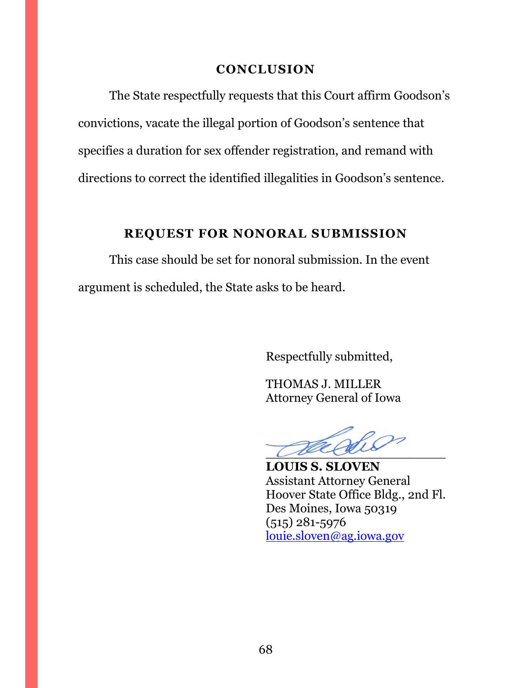#### **CONCLUSION**

<span id="page-67-0"></span>The State respectfully requests that this Court affirm Goodson's convictions, vacate the illegal portion of Goodson's sentence that specifies a duration for sex offender registration, and remand with directions to correct the identified illegalities in Goodson's sentence.

## **REQUEST FOR NONORAL SUBMISSION**

<span id="page-67-1"></span>This case should be set for nonoral submission. In the event argument is scheduled, the State asks to be heard.

Respectfully submitted,

THOMAS J. MILLER Attorney General of Iowa

 $\overline{\mathcal{L}}$ 

**LOUIS S. SLOVEN** Assistant Attorney General Hoover State Office Bldg., 2nd Fl. Des Moines, Iowa 50319 (515) 281-5976 [louie.sloven@ag.iowa.gov](mailto:louie.sloven@ag.iowa.gov)